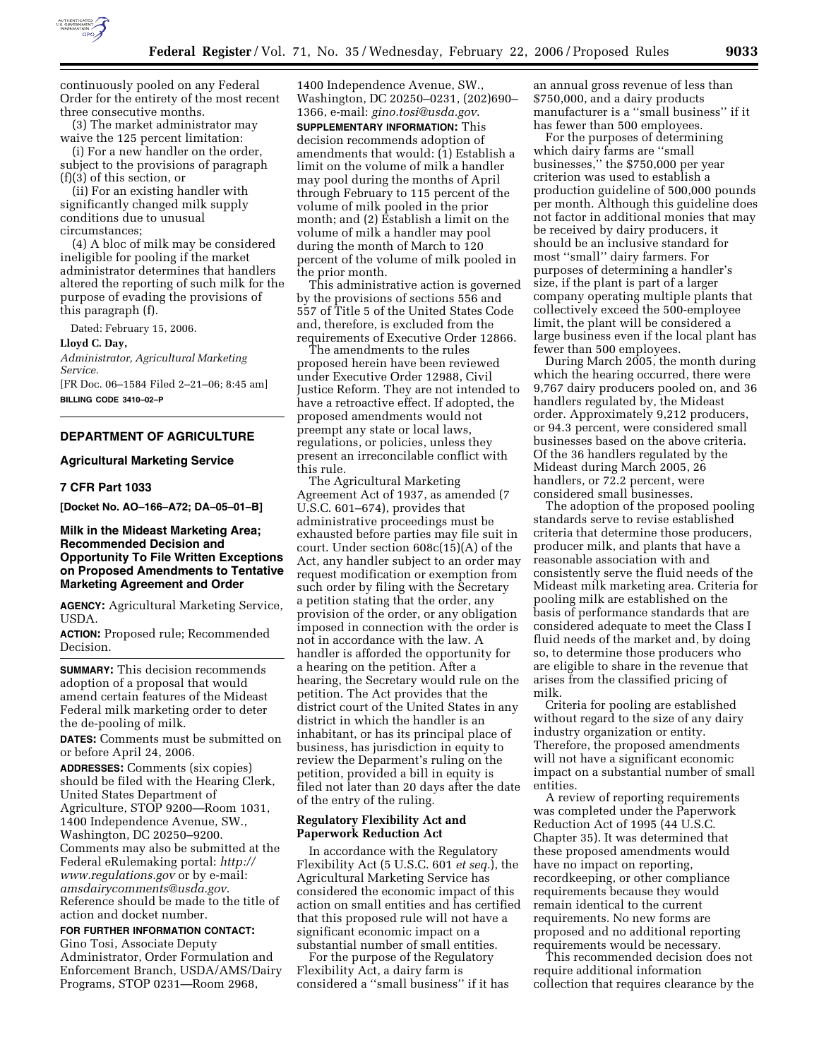

continuously pooled on any Federal Order for the entirety of the most recent three consecutive months.

(3) The market administrator may waive the 125 percent limitation:

(i) For a new handler on the order, subject to the provisions of paragraph (f)(3) of this section, or

(ii) For an existing handler with significantly changed milk supply conditions due to unusual circumstances;

(4) A bloc of milk may be considered ineligible for pooling if the market administrator determines that handlers altered the reporting of such milk for the purpose of evading the provisions of this paragraph (f).

Dated: February 15, 2006.

#### **Lloyd C. Day,**

*Administrator, Agricultural Marketing Service.* 

[FR Doc. 06–1584 Filed 2–21–06; 8:45 am] **BILLING CODE 3410–02–P** 

#### **DEPARTMENT OF AGRICULTURE**

## **Agricultural Marketing Service**

# **7 CFR Part 1033**

**[Docket No. AO–166–A72; DA–05–01–B]** 

# **Milk in the Mideast Marketing Area; Recommended Decision and Opportunity To File Written Exceptions on Proposed Amendments to Tentative Marketing Agreement and Order**

**AGENCY:** Agricultural Marketing Service, USDA.

**ACTION:** Proposed rule; Recommended Decision.

**SUMMARY:** This decision recommends adoption of a proposal that would amend certain features of the Mideast Federal milk marketing order to deter the de-pooling of milk.

**DATES:** Comments must be submitted on or before April 24, 2006.

**ADDRESSES:** Comments (six copies) should be filed with the Hearing Clerk, United States Department of Agriculture, STOP 9200—Room 1031, 1400 Independence Avenue, SW., Washington, DC 20250–9200. Comments may also be submitted at the Federal eRulemaking portal: *http:// www.regulations.gov* or by e-mail: *amsdairycomments@usda.gov*. Reference should be made to the title of action and docket number.

**FOR FURTHER INFORMATION CONTACT:** 

Gino Tosi, Associate Deputy Administrator, Order Formulation and Enforcement Branch, USDA/AMS/Dairy Programs, STOP 0231—Room 2968,

1400 Independence Avenue, SW., Washington, DC 20250–0231, (202)690– 1366, e-mail: *gino.tosi@usda.gov*.

**SUPPLEMENTARY INFORMATION:** This decision recommends adoption of amendments that would: (1) Establish a limit on the volume of milk a handler may pool during the months of April through February to 115 percent of the volume of milk pooled in the prior month; and (2) Establish a limit on the volume of milk a handler may pool during the month of March to 120 percent of the volume of milk pooled in the prior month.

This administrative action is governed by the provisions of sections 556 and 557 of Title 5 of the United States Code and, therefore, is excluded from the requirements of Executive Order 12866.

The amendments to the rules proposed herein have been reviewed under Executive Order 12988, Civil Justice Reform. They are not intended to have a retroactive effect. If adopted, the proposed amendments would not preempt any state or local laws, regulations, or policies, unless they present an irreconcilable conflict with this rule.

The Agricultural Marketing Agreement Act of 1937, as amended (7 U.S.C. 601–674), provides that administrative proceedings must be exhausted before parties may file suit in court. Under section 608c(15)(A) of the Act, any handler subject to an order may request modification or exemption from such order by filing with the Secretary a petition stating that the order, any provision of the order, or any obligation imposed in connection with the order is not in accordance with the law. A handler is afforded the opportunity for a hearing on the petition. After a hearing, the Secretary would rule on the petition. The Act provides that the district court of the United States in any district in which the handler is an inhabitant, or has its principal place of business, has jurisdiction in equity to review the Deparment's ruling on the petition, provided a bill in equity is filed not later than 20 days after the date of the entry of the ruling.

### **Regulatory Flexibility Act and Paperwork Reduction Act**

In accordance with the Regulatory Flexibility Act (5 U.S.C. 601 *et seq.*), the Agricultural Marketing Service has considered the economic impact of this action on small entities and has certified that this proposed rule will not have a significant economic impact on a substantial number of small entities.

For the purpose of the Regulatory Flexibility Act, a dairy farm is considered a ''small business'' if it has an annual gross revenue of less than \$750,000, and a dairy products manufacturer is a ''small business'' if it has fewer than 500 employees.

For the purposes of determining which dairy farms are ''small businesses,'' the \$750,000 per year criterion was used to establish a production guideline of 500,000 pounds per month. Although this guideline does not factor in additional monies that may be received by dairy producers, it should be an inclusive standard for most ''small'' dairy farmers. For purposes of determining a handler's size, if the plant is part of a larger company operating multiple plants that collectively exceed the 500-employee limit, the plant will be considered a large business even if the local plant has fewer than 500 employees.

During March 2005, the month during which the hearing occurred, there were 9,767 dairy producers pooled on, and 36 handlers regulated by, the Mideast order. Approximately 9,212 producers, or 94.3 percent, were considered small businesses based on the above criteria. Of the 36 handlers regulated by the Mideast during March 2005, 26 handlers, or 72.2 percent, were considered small businesses.

The adoption of the proposed pooling standards serve to revise established criteria that determine those producers, producer milk, and plants that have a reasonable association with and consistently serve the fluid needs of the Mideast milk marketing area. Criteria for pooling milk are established on the basis of performance standards that are considered adequate to meet the Class I fluid needs of the market and, by doing so, to determine those producers who are eligible to share in the revenue that arises from the classified pricing of milk.

Criteria for pooling are established without regard to the size of any dairy industry organization or entity. Therefore, the proposed amendments will not have a significant economic impact on a substantial number of small entities.

A review of reporting requirements was completed under the Paperwork Reduction Act of 1995 (44 U.S.C. Chapter 35). It was determined that these proposed amendments would have no impact on reporting, recordkeeping, or other compliance requirements because they would remain identical to the current requirements. No new forms are proposed and no additional reporting requirements would be necessary.

This recommended decision does not require additional information collection that requires clearance by the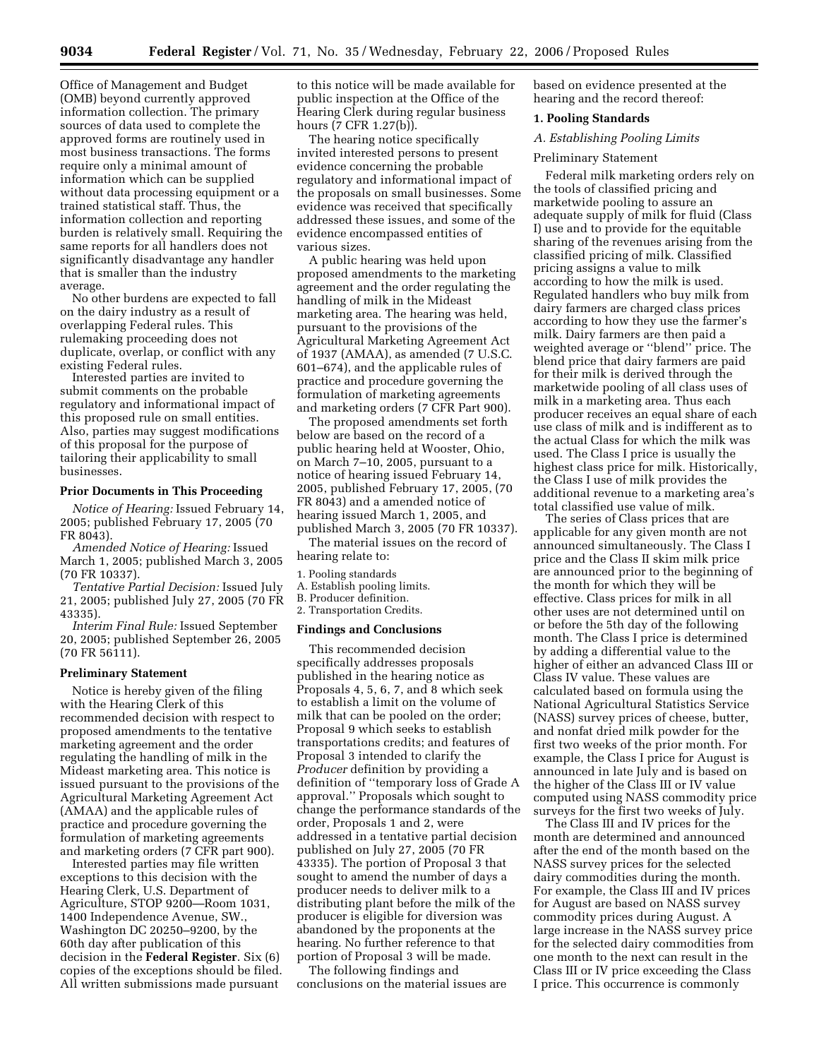Office of Management and Budget (OMB) beyond currently approved information collection. The primary sources of data used to complete the approved forms are routinely used in most business transactions. The forms require only a minimal amount of information which can be supplied without data processing equipment or a trained statistical staff. Thus, the information collection and reporting burden is relatively small. Requiring the same reports for all handlers does not significantly disadvantage any handler that is smaller than the industry average.

No other burdens are expected to fall on the dairy industry as a result of overlapping Federal rules. This rulemaking proceeding does not duplicate, overlap, or conflict with any existing Federal rules.

Interested parties are invited to submit comments on the probable regulatory and informational impact of this proposed rule on small entities. Also, parties may suggest modifications of this proposal for the purpose of tailoring their applicability to small businesses.

# **Prior Documents in This Proceeding**

*Notice of Hearing:* Issued February 14, 2005; published February 17, 2005 (70 FR 8043).

*Amended Notice of Hearing:* Issued March 1, 2005; published March 3, 2005 (70 FR 10337).

*Tentative Partial Decision:* Issued July 21, 2005; published July 27, 2005 (70 FR 43335).

*Interim Final Rule:* Issued September 20, 2005; published September 26, 2005 (70 FR 56111).

#### **Preliminary Statement**

Notice is hereby given of the filing with the Hearing Clerk of this recommended decision with respect to proposed amendments to the tentative marketing agreement and the order regulating the handling of milk in the Mideast marketing area. This notice is issued pursuant to the provisions of the Agricultural Marketing Agreement Act (AMAA) and the applicable rules of practice and procedure governing the formulation of marketing agreements and marketing orders (7 CFR part 900).

Interested parties may file written exceptions to this decision with the Hearing Clerk, U.S. Department of Agriculture, STOP 9200—Room 1031, 1400 Independence Avenue, SW., Washington DC 20250–9200, by the 60th day after publication of this decision in the **Federal Register**. Six (6) copies of the exceptions should be filed. All written submissions made pursuant

to this notice will be made available for public inspection at the Office of the Hearing Clerk during regular business hours (7 CFR 1.27(b)).

The hearing notice specifically invited interested persons to present evidence concerning the probable regulatory and informational impact of the proposals on small businesses. Some evidence was received that specifically addressed these issues, and some of the evidence encompassed entities of various sizes.

A public hearing was held upon proposed amendments to the marketing agreement and the order regulating the handling of milk in the Mideast marketing area. The hearing was held, pursuant to the provisions of the Agricultural Marketing Agreement Act of 1937 (AMAA), as amended (7 U.S.C. 601–674), and the applicable rules of practice and procedure governing the formulation of marketing agreements and marketing orders (7 CFR Part 900).

The proposed amendments set forth below are based on the record of a public hearing held at Wooster, Ohio, on March 7–10, 2005, pursuant to a notice of hearing issued February 14, 2005, published February 17, 2005, (70 FR 8043) and a amended notice of hearing issued March 1, 2005, and published March 3, 2005 (70 FR 10337).

The material issues on the record of hearing relate to:

## 1. Pooling standards

- A. Establish pooling limits.
- B. Producer definition.
- 2. Transportation Credits.

## **Findings and Conclusions**

This recommended decision specifically addresses proposals published in the hearing notice as Proposals 4, 5, 6, 7, and 8 which seek to establish a limit on the volume of milk that can be pooled on the order; Proposal 9 which seeks to establish transportations credits; and features of Proposal 3 intended to clarify the *Producer* definition by providing a definition of ''temporary loss of Grade A approval.'' Proposals which sought to change the performance standards of the order, Proposals 1 and 2, were addressed in a tentative partial decision published on July 27, 2005 (70 FR 43335). The portion of Proposal 3 that sought to amend the number of days a producer needs to deliver milk to a distributing plant before the milk of the producer is eligible for diversion was abandoned by the proponents at the hearing. No further reference to that portion of Proposal 3 will be made.

The following findings and conclusions on the material issues are based on evidence presented at the hearing and the record thereof:

## **1. Pooling Standards**

# *A. Establishing Pooling Limits*

#### Preliminary Statement

Federal milk marketing orders rely on the tools of classified pricing and marketwide pooling to assure an adequate supply of milk for fluid (Class I) use and to provide for the equitable sharing of the revenues arising from the classified pricing of milk. Classified pricing assigns a value to milk according to how the milk is used. Regulated handlers who buy milk from dairy farmers are charged class prices according to how they use the farmer's milk. Dairy farmers are then paid a weighted average or ''blend'' price. The blend price that dairy farmers are paid for their milk is derived through the marketwide pooling of all class uses of milk in a marketing area. Thus each producer receives an equal share of each use class of milk and is indifferent as to the actual Class for which the milk was used. The Class I price is usually the highest class price for milk. Historically, the Class I use of milk provides the additional revenue to a marketing area's total classified use value of milk.

The series of Class prices that are applicable for any given month are not announced simultaneously. The Class I price and the Class II skim milk price are announced prior to the beginning of the month for which they will be effective. Class prices for milk in all other uses are not determined until on or before the 5th day of the following month. The Class I price is determined by adding a differential value to the higher of either an advanced Class III or Class IV value. These values are calculated based on formula using the National Agricultural Statistics Service (NASS) survey prices of cheese, butter, and nonfat dried milk powder for the first two weeks of the prior month. For example, the Class I price for August is announced in late July and is based on the higher of the Class III or IV value computed using NASS commodity price surveys for the first two weeks of July.

The Class III and IV prices for the month are determined and announced after the end of the month based on the NASS survey prices for the selected dairy commodities during the month. For example, the Class III and IV prices for August are based on NASS survey commodity prices during August. A large increase in the NASS survey price for the selected dairy commodities from one month to the next can result in the Class III or IV price exceeding the Class I price. This occurrence is commonly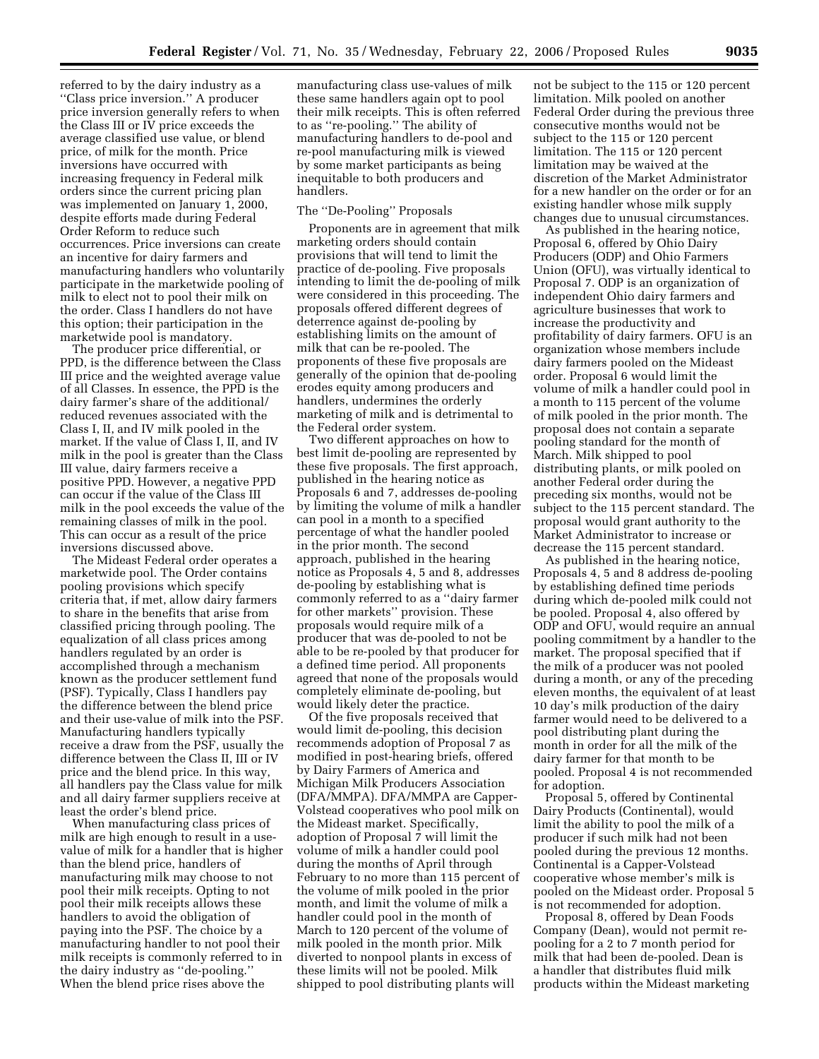referred to by the dairy industry as a ''Class price inversion.'' A producer price inversion generally refers to when the Class III or IV price exceeds the average classified use value, or blend price, of milk for the month. Price inversions have occurred with increasing frequency in Federal milk orders since the current pricing plan was implemented on January 1, 2000, despite efforts made during Federal Order Reform to reduce such occurrences. Price inversions can create an incentive for dairy farmers and manufacturing handlers who voluntarily participate in the marketwide pooling of milk to elect not to pool their milk on the order. Class I handlers do not have this option; their participation in the marketwide pool is mandatory.

The producer price differential, or PPD, is the difference between the Class III price and the weighted average value of all Classes. In essence, the PPD is the dairy farmer's share of the additional/ reduced revenues associated with the Class I, II, and IV milk pooled in the market. If the value of Class I, II, and IV milk in the pool is greater than the Class III value, dairy farmers receive a positive PPD. However, a negative PPD can occur if the value of the Class III milk in the pool exceeds the value of the remaining classes of milk in the pool. This can occur as a result of the price inversions discussed above.

The Mideast Federal order operates a marketwide pool. The Order contains pooling provisions which specify criteria that, if met, allow dairy farmers to share in the benefits that arise from classified pricing through pooling. The equalization of all class prices among handlers regulated by an order is accomplished through a mechanism known as the producer settlement fund (PSF). Typically, Class I handlers pay the difference between the blend price and their use-value of milk into the PSF. Manufacturing handlers typically receive a draw from the PSF, usually the difference between the Class II, III or IV price and the blend price. In this way, all handlers pay the Class value for milk and all dairy farmer suppliers receive at least the order's blend price.

When manufacturing class prices of milk are high enough to result in a usevalue of milk for a handler that is higher than the blend price, handlers of manufacturing milk may choose to not pool their milk receipts. Opting to not pool their milk receipts allows these handlers to avoid the obligation of paying into the PSF. The choice by a manufacturing handler to not pool their milk receipts is commonly referred to in the dairy industry as ''de-pooling.'' When the blend price rises above the

manufacturing class use-values of milk these same handlers again opt to pool their milk receipts. This is often referred to as ''re-pooling.'' The ability of manufacturing handlers to de-pool and re-pool manufacturing milk is viewed by some market participants as being inequitable to both producers and handlers.

## The ''De-Pooling'' Proposals

Proponents are in agreement that milk marketing orders should contain provisions that will tend to limit the practice of de-pooling. Five proposals intending to limit the de-pooling of milk were considered in this proceeding. The proposals offered different degrees of deterrence against de-pooling by establishing limits on the amount of milk that can be re-pooled. The proponents of these five proposals are generally of the opinion that de-pooling erodes equity among producers and handlers, undermines the orderly marketing of milk and is detrimental to the Federal order system.

Two different approaches on how to best limit de-pooling are represented by these five proposals. The first approach, published in the hearing notice as Proposals 6 and 7, addresses de-pooling by limiting the volume of milk a handler can pool in a month to a specified percentage of what the handler pooled in the prior month. The second approach, published in the hearing notice as Proposals 4, 5 and 8, addresses de-pooling by establishing what is commonly referred to as a ''dairy farmer for other markets'' provision. These proposals would require milk of a producer that was de-pooled to not be able to be re-pooled by that producer for a defined time period. All proponents agreed that none of the proposals would completely eliminate de-pooling, but would likely deter the practice.

Of the five proposals received that would limit de-pooling, this decision recommends adoption of Proposal 7 as modified in post-hearing briefs, offered by Dairy Farmers of America and Michigan Milk Producers Association (DFA/MMPA). DFA/MMPA are Capper-Volstead cooperatives who pool milk on the Mideast market. Specifically, adoption of Proposal  $\bar{7}$  will limit the volume of milk a handler could pool during the months of April through February to no more than 115 percent of the volume of milk pooled in the prior month, and limit the volume of milk a handler could pool in the month of March to 120 percent of the volume of milk pooled in the month prior. Milk diverted to nonpool plants in excess of these limits will not be pooled. Milk shipped to pool distributing plants will

not be subject to the 115 or 120 percent limitation. Milk pooled on another Federal Order during the previous three consecutive months would not be subject to the 115 or 120 percent limitation. The 115 or 120 percent limitation may be waived at the discretion of the Market Administrator for a new handler on the order or for an existing handler whose milk supply changes due to unusual circumstances.

As published in the hearing notice, Proposal 6, offered by Ohio Dairy Producers (ODP) and Ohio Farmers Union (OFU), was virtually identical to Proposal 7. ODP is an organization of independent Ohio dairy farmers and agriculture businesses that work to increase the productivity and profitability of dairy farmers. OFU is an organization whose members include dairy farmers pooled on the Mideast order. Proposal 6 would limit the volume of milk a handler could pool in a month to 115 percent of the volume of milk pooled in the prior month. The proposal does not contain a separate pooling standard for the month of March. Milk shipped to pool distributing plants, or milk pooled on another Federal order during the preceding six months, would not be subject to the 115 percent standard. The proposal would grant authority to the Market Administrator to increase or decrease the 115 percent standard.

As published in the hearing notice, Proposals 4, 5 and 8 address de-pooling by establishing defined time periods during which de-pooled milk could not be pooled. Proposal 4, also offered by ODP and OFU, would require an annual pooling commitment by a handler to the market. The proposal specified that if the milk of a producer was not pooled during a month, or any of the preceding eleven months, the equivalent of at least 10 day's milk production of the dairy farmer would need to be delivered to a pool distributing plant during the month in order for all the milk of the dairy farmer for that month to be pooled. Proposal 4 is not recommended for adoption.

Proposal 5, offered by Continental Dairy Products (Continental), would limit the ability to pool the milk of a producer if such milk had not been pooled during the previous 12 months. Continental is a Capper-Volstead cooperative whose member's milk is pooled on the Mideast order. Proposal 5 is not recommended for adoption.

Proposal 8, offered by Dean Foods Company (Dean), would not permit repooling for a 2 to 7 month period for milk that had been de-pooled. Dean is a handler that distributes fluid milk products within the Mideast marketing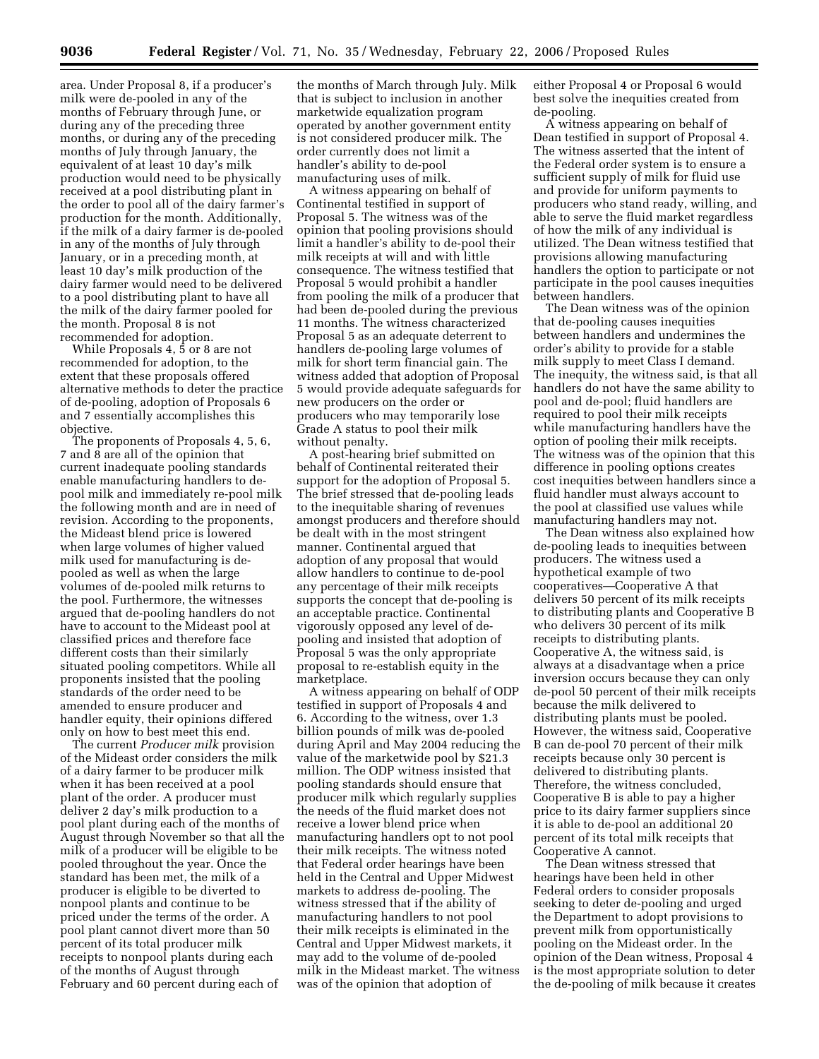area. Under Proposal 8, if a producer's milk were de-pooled in any of the months of February through June, or during any of the preceding three months, or during any of the preceding months of July through January, the equivalent of at least 10 day's milk production would need to be physically received at a pool distributing plant in the order to pool all of the dairy farmer's production for the month. Additionally, if the milk of a dairy farmer is de-pooled in any of the months of July through January, or in a preceding month, at least 10 day's milk production of the dairy farmer would need to be delivered to a pool distributing plant to have all the milk of the dairy farmer pooled for the month. Proposal 8 is not recommended for adoption.

While Proposals 4, 5 or 8 are not recommended for adoption, to the extent that these proposals offered alternative methods to deter the practice of de-pooling, adoption of Proposals 6 and 7 essentially accomplishes this objective.

The proponents of Proposals 4, 5, 6, 7 and 8 are all of the opinion that current inadequate pooling standards enable manufacturing handlers to depool milk and immediately re-pool milk the following month and are in need of revision. According to the proponents, the Mideast blend price is lowered when large volumes of higher valued milk used for manufacturing is depooled as well as when the large volumes of de-pooled milk returns to the pool. Furthermore, the witnesses argued that de-pooling handlers do not have to account to the Mideast pool at classified prices and therefore face different costs than their similarly situated pooling competitors. While all proponents insisted that the pooling standards of the order need to be amended to ensure producer and handler equity, their opinions differed only on how to best meet this end.

The current *Producer milk* provision of the Mideast order considers the milk of a dairy farmer to be producer milk when it has been received at a pool plant of the order. A producer must deliver 2 day's milk production to a pool plant during each of the months of August through November so that all the milk of a producer will be eligible to be pooled throughout the year. Once the standard has been met, the milk of a producer is eligible to be diverted to nonpool plants and continue to be priced under the terms of the order. A pool plant cannot divert more than 50 percent of its total producer milk receipts to nonpool plants during each of the months of August through February and 60 percent during each of

the months of March through July. Milk that is subject to inclusion in another marketwide equalization program operated by another government entity is not considered producer milk. The order currently does not limit a handler's ability to de-pool manufacturing uses of milk.

A witness appearing on behalf of Continental testified in support of Proposal 5. The witness was of the opinion that pooling provisions should limit a handler's ability to de-pool their milk receipts at will and with little consequence. The witness testified that Proposal 5 would prohibit a handler from pooling the milk of a producer that had been de-pooled during the previous 11 months. The witness characterized Proposal 5 as an adequate deterrent to handlers de-pooling large volumes of milk for short term financial gain. The witness added that adoption of Proposal 5 would provide adequate safeguards for new producers on the order or producers who may temporarily lose Grade A status to pool their milk without penalty.

A post-hearing brief submitted on behalf of Continental reiterated their support for the adoption of Proposal 5. The brief stressed that de-pooling leads to the inequitable sharing of revenues amongst producers and therefore should be dealt with in the most stringent manner. Continental argued that adoption of any proposal that would allow handlers to continue to de-pool any percentage of their milk receipts supports the concept that de-pooling is an acceptable practice. Continental vigorously opposed any level of depooling and insisted that adoption of Proposal 5 was the only appropriate proposal to re-establish equity in the marketplace.

A witness appearing on behalf of ODP testified in support of Proposals 4 and 6. According to the witness, over 1.3 billion pounds of milk was de-pooled during April and May 2004 reducing the value of the marketwide pool by \$21.3 million. The ODP witness insisted that pooling standards should ensure that producer milk which regularly supplies the needs of the fluid market does not receive a lower blend price when manufacturing handlers opt to not pool their milk receipts. The witness noted that Federal order hearings have been held in the Central and Upper Midwest markets to address de-pooling. The witness stressed that if the ability of manufacturing handlers to not pool their milk receipts is eliminated in the Central and Upper Midwest markets, it may add to the volume of de-pooled milk in the Mideast market. The witness was of the opinion that adoption of

either Proposal 4 or Proposal 6 would best solve the inequities created from de-pooling.

A witness appearing on behalf of Dean testified in support of Proposal 4. The witness asserted that the intent of the Federal order system is to ensure a sufficient supply of milk for fluid use and provide for uniform payments to producers who stand ready, willing, and able to serve the fluid market regardless of how the milk of any individual is utilized. The Dean witness testified that provisions allowing manufacturing handlers the option to participate or not participate in the pool causes inequities between handlers.

The Dean witness was of the opinion that de-pooling causes inequities between handlers and undermines the order's ability to provide for a stable milk supply to meet Class I demand. The inequity, the witness said, is that all handlers do not have the same ability to pool and de-pool; fluid handlers are required to pool their milk receipts while manufacturing handlers have the option of pooling their milk receipts. The witness was of the opinion that this difference in pooling options creates cost inequities between handlers since a fluid handler must always account to the pool at classified use values while manufacturing handlers may not.

The Dean witness also explained how de-pooling leads to inequities between producers. The witness used a hypothetical example of two cooperatives—Cooperative A that delivers 50 percent of its milk receipts to distributing plants and Cooperative B who delivers 30 percent of its milk receipts to distributing plants. Cooperative A, the witness said, is always at a disadvantage when a price inversion occurs because they can only de-pool 50 percent of their milk receipts because the milk delivered to distributing plants must be pooled. However, the witness said, Cooperative B can de-pool 70 percent of their milk receipts because only 30 percent is delivered to distributing plants. Therefore, the witness concluded, Cooperative B is able to pay a higher price to its dairy farmer suppliers since it is able to de-pool an additional 20 percent of its total milk receipts that Cooperative A cannot.

The Dean witness stressed that hearings have been held in other Federal orders to consider proposals seeking to deter de-pooling and urged the Department to adopt provisions to prevent milk from opportunistically pooling on the Mideast order. In the opinion of the Dean witness, Proposal 4 is the most appropriate solution to deter the de-pooling of milk because it creates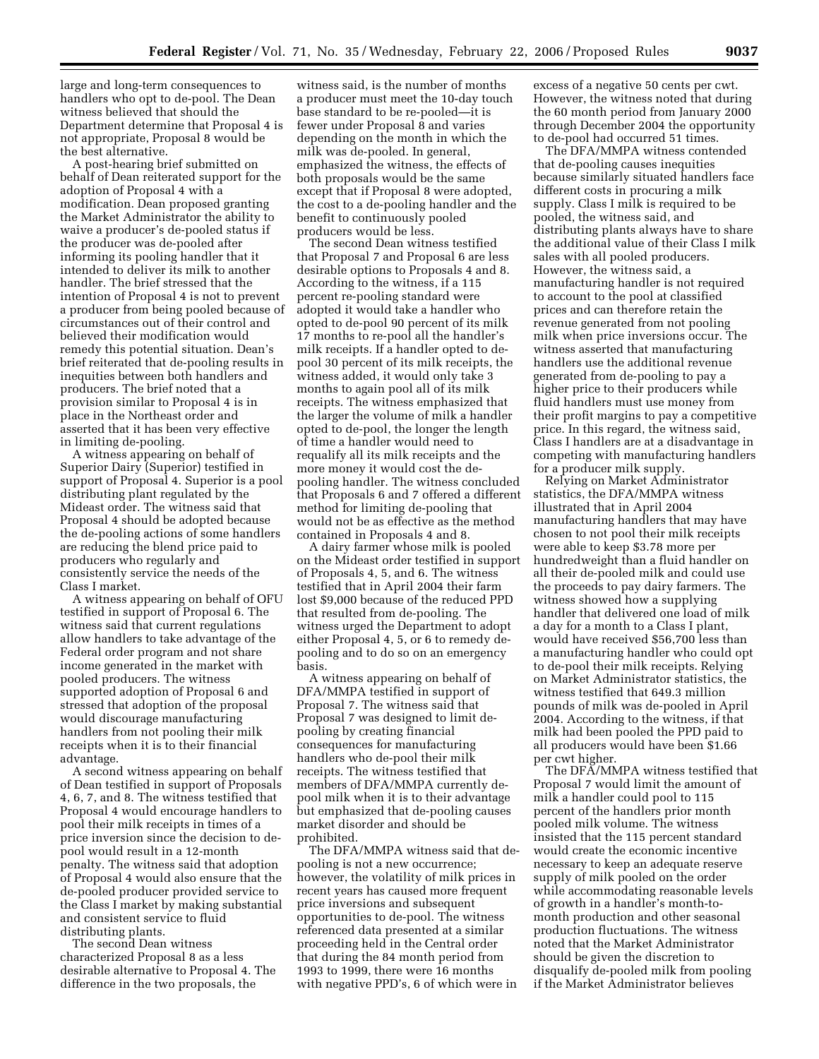large and long-term consequences to handlers who opt to de-pool. The Dean witness believed that should the Department determine that Proposal 4 is not appropriate, Proposal 8 would be the best alternative.

A post-hearing brief submitted on behalf of Dean reiterated support for the adoption of Proposal 4 with a modification. Dean proposed granting the Market Administrator the ability to waive a producer's de-pooled status if the producer was de-pooled after informing its pooling handler that it intended to deliver its milk to another handler. The brief stressed that the intention of Proposal 4 is not to prevent a producer from being pooled because of circumstances out of their control and believed their modification would remedy this potential situation. Dean's brief reiterated that de-pooling results in inequities between both handlers and producers. The brief noted that a provision similar to Proposal 4 is in place in the Northeast order and asserted that it has been very effective in limiting de-pooling.

A witness appearing on behalf of Superior Dairy (Superior) testified in support of Proposal 4. Superior is a pool distributing plant regulated by the Mideast order. The witness said that Proposal 4 should be adopted because the de-pooling actions of some handlers are reducing the blend price paid to producers who regularly and consistently service the needs of the Class I market.

A witness appearing on behalf of OFU testified in support of Proposal 6. The witness said that current regulations allow handlers to take advantage of the Federal order program and not share income generated in the market with pooled producers. The witness supported adoption of Proposal 6 and stressed that adoption of the proposal would discourage manufacturing handlers from not pooling their milk receipts when it is to their financial advantage.

A second witness appearing on behalf of Dean testified in support of Proposals 4, 6, 7, and 8. The witness testified that Proposal 4 would encourage handlers to pool their milk receipts in times of a price inversion since the decision to depool would result in a 12-month penalty. The witness said that adoption of Proposal 4 would also ensure that the de-pooled producer provided service to the Class I market by making substantial and consistent service to fluid distributing plants.

The second Dean witness characterized Proposal 8 as a less desirable alternative to Proposal 4. The difference in the two proposals, the

witness said, is the number of months a producer must meet the 10-day touch base standard to be re-pooled—it is fewer under Proposal 8 and varies depending on the month in which the milk was de-pooled. In general, emphasized the witness, the effects of both proposals would be the same except that if Proposal 8 were adopted, the cost to a de-pooling handler and the benefit to continuously pooled producers would be less.

The second Dean witness testified that Proposal 7 and Proposal 6 are less desirable options to Proposals 4 and 8. According to the witness, if a 115 percent re-pooling standard were adopted it would take a handler who opted to de-pool 90 percent of its milk 17 months to re-pool all the handler's milk receipts. If a handler opted to depool 30 percent of its milk receipts, the witness added, it would only take 3 months to again pool all of its milk receipts. The witness emphasized that the larger the volume of milk a handler opted to de-pool, the longer the length of time a handler would need to requalify all its milk receipts and the more money it would cost the depooling handler. The witness concluded that Proposals 6 and 7 offered a different method for limiting de-pooling that would not be as effective as the method contained in Proposals 4 and 8.

A dairy farmer whose milk is pooled on the Mideast order testified in support of Proposals 4, 5, and 6. The witness testified that in April 2004 their farm lost \$9,000 because of the reduced PPD that resulted from de-pooling. The witness urged the Department to adopt either Proposal 4, 5, or 6 to remedy depooling and to do so on an emergency basis.

A witness appearing on behalf of DFA/MMPA testified in support of Proposal 7. The witness said that Proposal 7 was designed to limit depooling by creating financial consequences for manufacturing handlers who de-pool their milk receipts. The witness testified that members of DFA/MMPA currently depool milk when it is to their advantage but emphasized that de-pooling causes market disorder and should be prohibited.

The DFA/MMPA witness said that depooling is not a new occurrence; however, the volatility of milk prices in recent years has caused more frequent price inversions and subsequent opportunities to de-pool. The witness referenced data presented at a similar proceeding held in the Central order that during the 84 month period from 1993 to 1999, there were 16 months with negative PPD's, 6 of which were in

excess of a negative 50 cents per cwt. However, the witness noted that during the 60 month period from January 2000 through December 2004 the opportunity to de-pool had occurred 51 times.

The DFA/MMPA witness contended that de-pooling causes inequities because similarly situated handlers face different costs in procuring a milk supply. Class I milk is required to be pooled, the witness said, and distributing plants always have to share the additional value of their Class I milk sales with all pooled producers. However, the witness said, a manufacturing handler is not required to account to the pool at classified prices and can therefore retain the revenue generated from not pooling milk when price inversions occur. The witness asserted that manufacturing handlers use the additional revenue generated from de-pooling to pay a higher price to their producers while fluid handlers must use money from their profit margins to pay a competitive price. In this regard, the witness said, Class I handlers are at a disadvantage in competing with manufacturing handlers for a producer milk supply.

Relying on Market Administrator statistics, the DFA/MMPA witness illustrated that in April 2004 manufacturing handlers that may have chosen to not pool their milk receipts were able to keep \$3.78 more per hundredweight than a fluid handler on all their de-pooled milk and could use the proceeds to pay dairy farmers. The witness showed how a supplying handler that delivered one load of milk a day for a month to a Class I plant, would have received \$56,700 less than a manufacturing handler who could opt to de-pool their milk receipts. Relying on Market Administrator statistics, the witness testified that 649.3 million pounds of milk was de-pooled in April 2004. According to the witness, if that milk had been pooled the PPD paid to all producers would have been \$1.66 per cwt higher.

The DFA/MMPA witness testified that Proposal 7 would limit the amount of milk a handler could pool to 115 percent of the handlers prior month pooled milk volume. The witness insisted that the 115 percent standard would create the economic incentive necessary to keep an adequate reserve supply of milk pooled on the order while accommodating reasonable levels of growth in a handler's month-tomonth production and other seasonal production fluctuations. The witness noted that the Market Administrator should be given the discretion to disqualify de-pooled milk from pooling if the Market Administrator believes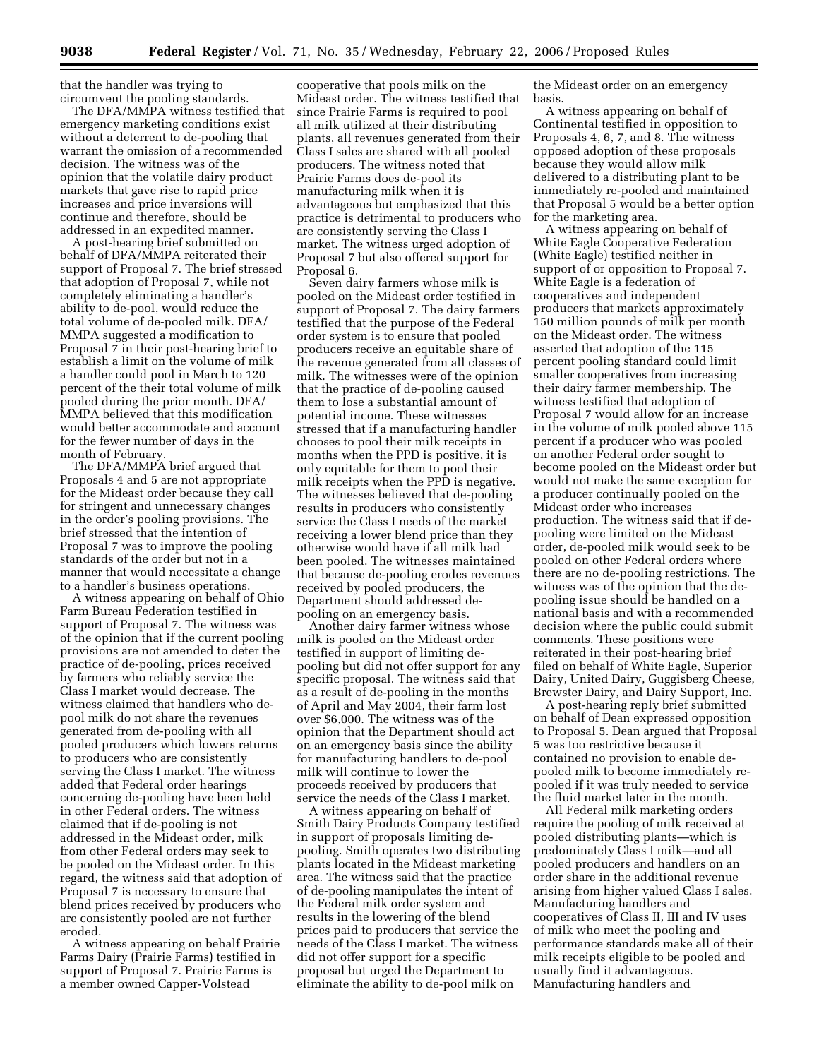that the handler was trying to circumvent the pooling standards.

The DFA/MMPA witness testified that emergency marketing conditions exist without a deterrent to de-pooling that warrant the omission of a recommended decision. The witness was of the opinion that the volatile dairy product markets that gave rise to rapid price increases and price inversions will continue and therefore, should be addressed in an expedited manner.

A post-hearing brief submitted on behalf of DFA/MMPA reiterated their support of Proposal 7. The brief stressed that adoption of Proposal 7, while not completely eliminating a handler's ability to de-pool, would reduce the total volume of de-pooled milk. DFA/ MMPA suggested a modification to Proposal 7 in their post-hearing brief to establish a limit on the volume of milk a handler could pool in March to 120 percent of the their total volume of milk pooled during the prior month. DFA/ MMPA believed that this modification would better accommodate and account for the fewer number of days in the month of February.

The DFA/MMPA brief argued that Proposals 4 and 5 are not appropriate for the Mideast order because they call for stringent and unnecessary changes in the order's pooling provisions. The brief stressed that the intention of Proposal 7 was to improve the pooling standards of the order but not in a manner that would necessitate a change to a handler's business operations.

A witness appearing on behalf of Ohio Farm Bureau Federation testified in support of Proposal 7. The witness was of the opinion that if the current pooling provisions are not amended to deter the practice of de-pooling, prices received by farmers who reliably service the Class I market would decrease. The witness claimed that handlers who depool milk do not share the revenues generated from de-pooling with all pooled producers which lowers returns to producers who are consistently serving the Class I market. The witness added that Federal order hearings concerning de-pooling have been held in other Federal orders. The witness claimed that if de-pooling is not addressed in the Mideast order, milk from other Federal orders may seek to be pooled on the Mideast order. In this regard, the witness said that adoption of Proposal 7 is necessary to ensure that blend prices received by producers who are consistently pooled are not further eroded.

A witness appearing on behalf Prairie Farms Dairy (Prairie Farms) testified in support of Proposal 7. Prairie Farms is a member owned Capper-Volstead

cooperative that pools milk on the Mideast order. The witness testified that since Prairie Farms is required to pool all milk utilized at their distributing plants, all revenues generated from their Class I sales are shared with all pooled producers. The witness noted that Prairie Farms does de-pool its manufacturing milk when it is advantageous but emphasized that this practice is detrimental to producers who are consistently serving the Class I market. The witness urged adoption of Proposal 7 but also offered support for Proposal 6.

Seven dairy farmers whose milk is pooled on the Mideast order testified in support of Proposal 7. The dairy farmers testified that the purpose of the Federal order system is to ensure that pooled producers receive an equitable share of the revenue generated from all classes of milk. The witnesses were of the opinion that the practice of de-pooling caused them to lose a substantial amount of potential income. These witnesses stressed that if a manufacturing handler chooses to pool their milk receipts in months when the PPD is positive, it is only equitable for them to pool their milk receipts when the PPD is negative. The witnesses believed that de-pooling results in producers who consistently service the Class I needs of the market receiving a lower blend price than they otherwise would have if all milk had been pooled. The witnesses maintained that because de-pooling erodes revenues received by pooled producers, the Department should addressed depooling on an emergency basis.

Another dairy farmer witness whose milk is pooled on the Mideast order testified in support of limiting depooling but did not offer support for any specific proposal. The witness said that as a result of de-pooling in the months of April and May 2004, their farm lost over \$6,000. The witness was of the opinion that the Department should act on an emergency basis since the ability for manufacturing handlers to de-pool milk will continue to lower the proceeds received by producers that service the needs of the Class I market.

A witness appearing on behalf of Smith Dairy Products Company testified in support of proposals limiting depooling. Smith operates two distributing plants located in the Mideast marketing area. The witness said that the practice of de-pooling manipulates the intent of the Federal milk order system and results in the lowering of the blend prices paid to producers that service the needs of the Class I market. The witness did not offer support for a specific proposal but urged the Department to eliminate the ability to de-pool milk on

the Mideast order on an emergency basis.

A witness appearing on behalf of Continental testified in opposition to Proposals 4, 6, 7, and 8. The witness opposed adoption of these proposals because they would allow milk delivered to a distributing plant to be immediately re-pooled and maintained that Proposal 5 would be a better option for the marketing area.

A witness appearing on behalf of White Eagle Cooperative Federation (White Eagle) testified neither in support of or opposition to Proposal 7. White Eagle is a federation of cooperatives and independent producers that markets approximately 150 million pounds of milk per month on the Mideast order. The witness asserted that adoption of the 115 percent pooling standard could limit smaller cooperatives from increasing their dairy farmer membership. The witness testified that adoption of Proposal 7 would allow for an increase in the volume of milk pooled above 115 percent if a producer who was pooled on another Federal order sought to become pooled on the Mideast order but would not make the same exception for a producer continually pooled on the Mideast order who increases production. The witness said that if depooling were limited on the Mideast order, de-pooled milk would seek to be pooled on other Federal orders where there are no de-pooling restrictions. The witness was of the opinion that the depooling issue should be handled on a national basis and with a recommended decision where the public could submit comments. These positions were reiterated in their post-hearing brief filed on behalf of White Eagle, Superior Dairy, United Dairy, Guggisberg Cheese, Brewster Dairy, and Dairy Support, Inc.

A post-hearing reply brief submitted on behalf of Dean expressed opposition to Proposal 5. Dean argued that Proposal 5 was too restrictive because it contained no provision to enable depooled milk to become immediately repooled if it was truly needed to service the fluid market later in the month.

All Federal milk marketing orders require the pooling of milk received at pooled distributing plants—which is predominately Class I milk—and all pooled producers and handlers on an order share in the additional revenue arising from higher valued Class I sales. Manufacturing handlers and cooperatives of Class II, III and IV uses of milk who meet the pooling and performance standards make all of their milk receipts eligible to be pooled and usually find it advantageous. Manufacturing handlers and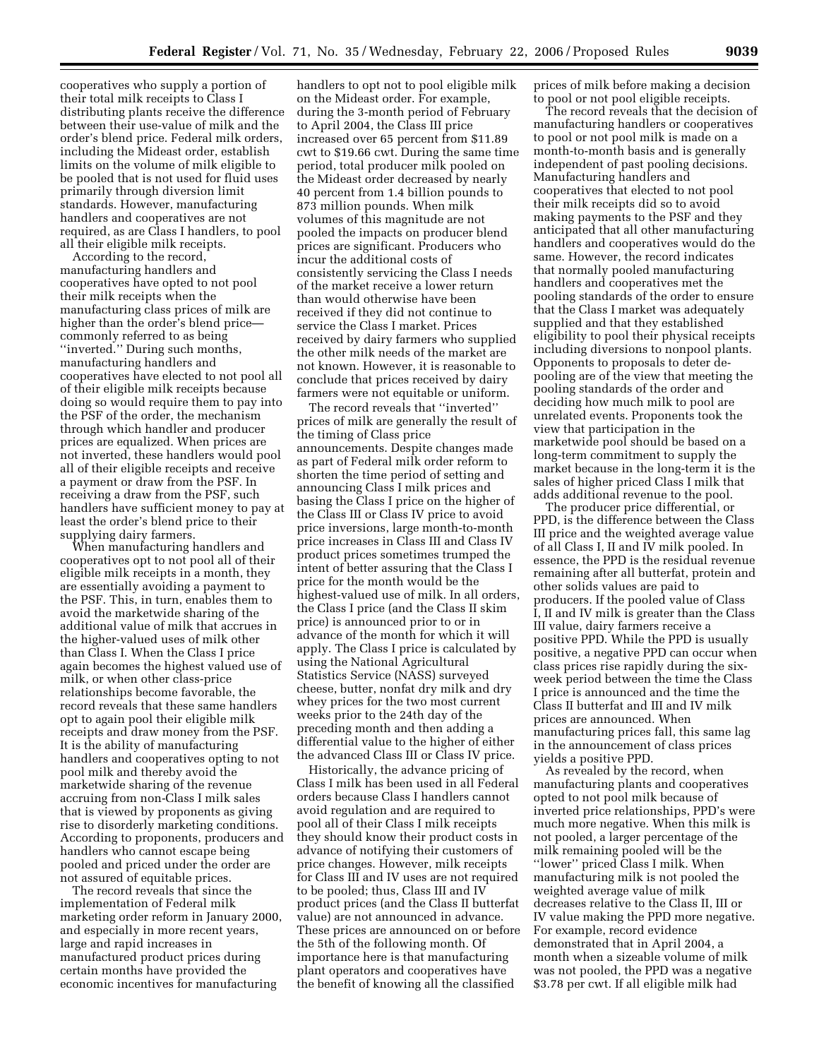cooperatives who supply a portion of their total milk receipts to Class I distributing plants receive the difference between their use-value of milk and the order's blend price. Federal milk orders, including the Mideast order, establish limits on the volume of milk eligible to be pooled that is not used for fluid uses primarily through diversion limit standards. However, manufacturing handlers and cooperatives are not required, as are Class I handlers, to pool all their eligible milk receipts.

According to the record, manufacturing handlers and cooperatives have opted to not pool their milk receipts when the manufacturing class prices of milk are higher than the order's blend price commonly referred to as being ''inverted.'' During such months, manufacturing handlers and cooperatives have elected to not pool all of their eligible milk receipts because doing so would require them to pay into the PSF of the order, the mechanism through which handler and producer prices are equalized. When prices are not inverted, these handlers would pool all of their eligible receipts and receive a payment or draw from the PSF. In receiving a draw from the PSF, such handlers have sufficient money to pay at least the order's blend price to their supplying dairy farmers.

When manufacturing handlers and cooperatives opt to not pool all of their eligible milk receipts in a month, they are essentially avoiding a payment to the PSF. This, in turn, enables them to avoid the marketwide sharing of the additional value of milk that accrues in the higher-valued uses of milk other than Class I. When the Class I price again becomes the highest valued use of milk, or when other class-price relationships become favorable, the record reveals that these same handlers opt to again pool their eligible milk receipts and draw money from the PSF. It is the ability of manufacturing handlers and cooperatives opting to not pool milk and thereby avoid the marketwide sharing of the revenue accruing from non-Class I milk sales that is viewed by proponents as giving rise to disorderly marketing conditions. According to proponents, producers and handlers who cannot escape being pooled and priced under the order are not assured of equitable prices.

The record reveals that since the implementation of Federal milk marketing order reform in January 2000, and especially in more recent years, large and rapid increases in manufactured product prices during certain months have provided the economic incentives for manufacturing

handlers to opt not to pool eligible milk on the Mideast order. For example, during the 3-month period of February to April 2004, the Class III price increased over 65 percent from \$11.89 cwt to \$19.66 cwt. During the same time period, total producer milk pooled on the Mideast order decreased by nearly 40 percent from 1.4 billion pounds to 873 million pounds. When milk volumes of this magnitude are not pooled the impacts on producer blend prices are significant. Producers who incur the additional costs of consistently servicing the Class I needs of the market receive a lower return than would otherwise have been received if they did not continue to service the Class I market. Prices received by dairy farmers who supplied the other milk needs of the market are not known. However, it is reasonable to conclude that prices received by dairy farmers were not equitable or uniform.

The record reveals that ''inverted'' prices of milk are generally the result of the timing of Class price announcements. Despite changes made as part of Federal milk order reform to shorten the time period of setting and announcing Class I milk prices and basing the Class I price on the higher of the Class III or Class IV price to avoid price inversions, large month-to-month price increases in Class III and Class IV product prices sometimes trumped the intent of better assuring that the Class I price for the month would be the highest-valued use of milk. In all orders, the Class I price (and the Class II skim price) is announced prior to or in advance of the month for which it will apply. The Class I price is calculated by using the National Agricultural Statistics Service (NASS) surveyed cheese, butter, nonfat dry milk and dry whey prices for the two most current weeks prior to the 24th day of the preceding month and then adding a differential value to the higher of either the advanced Class III or Class IV price.

Historically, the advance pricing of Class I milk has been used in all Federal orders because Class I handlers cannot avoid regulation and are required to pool all of their Class I milk receipts they should know their product costs in advance of notifying their customers of price changes. However, milk receipts for Class III and IV uses are not required to be pooled; thus, Class III and IV product prices (and the Class II butterfat value) are not announced in advance. These prices are announced on or before the 5th of the following month. Of importance here is that manufacturing plant operators and cooperatives have the benefit of knowing all the classified

prices of milk before making a decision to pool or not pool eligible receipts.

The record reveals that the decision of manufacturing handlers or cooperatives to pool or not pool milk is made on a month-to-month basis and is generally independent of past pooling decisions. Manufacturing handlers and cooperatives that elected to not pool their milk receipts did so to avoid making payments to the PSF and they anticipated that all other manufacturing handlers and cooperatives would do the same. However, the record indicates that normally pooled manufacturing handlers and cooperatives met the pooling standards of the order to ensure that the Class I market was adequately supplied and that they established eligibility to pool their physical receipts including diversions to nonpool plants. Opponents to proposals to deter depooling are of the view that meeting the pooling standards of the order and deciding how much milk to pool are unrelated events. Proponents took the view that participation in the marketwide pool should be based on a long-term commitment to supply the market because in the long-term it is the sales of higher priced Class I milk that adds additional revenue to the pool.

The producer price differential, or PPD, is the difference between the Class III price and the weighted average value of all Class I, II and IV milk pooled. In essence, the PPD is the residual revenue remaining after all butterfat, protein and other solids values are paid to producers. If the pooled value of Class I, II and IV milk is greater than the Class III value, dairy farmers receive a positive PPD. While the PPD is usually positive, a negative PPD can occur when class prices rise rapidly during the sixweek period between the time the Class I price is announced and the time the Class II butterfat and III and IV milk prices are announced. When manufacturing prices fall, this same lag in the announcement of class prices yields a positive PPD.

As revealed by the record, when manufacturing plants and cooperatives opted to not pool milk because of inverted price relationships, PPD's were much more negative. When this milk is not pooled, a larger percentage of the milk remaining pooled will be the ''lower'' priced Class I milk. When manufacturing milk is not pooled the weighted average value of milk decreases relative to the Class II, III or IV value making the PPD more negative. For example, record evidence demonstrated that in April 2004, a month when a sizeable volume of milk was not pooled, the PPD was a negative \$3.78 per cwt. If all eligible milk had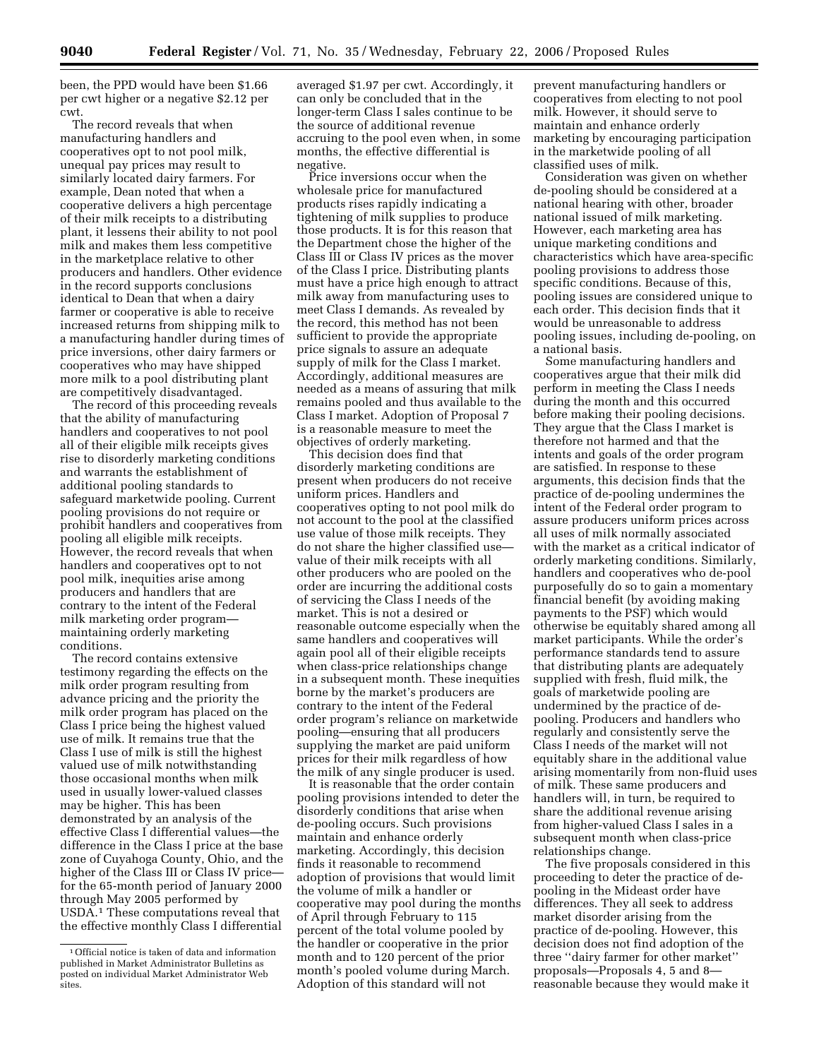been, the PPD would have been \$1.66 per cwt higher or a negative \$2.12 per cwt.

The record reveals that when manufacturing handlers and cooperatives opt to not pool milk, unequal pay prices may result to similarly located dairy farmers. For example, Dean noted that when a cooperative delivers a high percentage of their milk receipts to a distributing plant, it lessens their ability to not pool milk and makes them less competitive in the marketplace relative to other producers and handlers. Other evidence in the record supports conclusions identical to Dean that when a dairy farmer or cooperative is able to receive increased returns from shipping milk to a manufacturing handler during times of price inversions, other dairy farmers or cooperatives who may have shipped more milk to a pool distributing plant are competitively disadvantaged.

The record of this proceeding reveals that the ability of manufacturing handlers and cooperatives to not pool all of their eligible milk receipts gives rise to disorderly marketing conditions and warrants the establishment of additional pooling standards to safeguard marketwide pooling. Current pooling provisions do not require or prohibit handlers and cooperatives from pooling all eligible milk receipts. However, the record reveals that when handlers and cooperatives opt to not pool milk, inequities arise among producers and handlers that are contrary to the intent of the Federal milk marketing order program maintaining orderly marketing conditions.

The record contains extensive testimony regarding the effects on the milk order program resulting from advance pricing and the priority the milk order program has placed on the Class I price being the highest valued use of milk. It remains true that the Class I use of milk is still the highest valued use of milk notwithstanding those occasional months when milk used in usually lower-valued classes may be higher. This has been demonstrated by an analysis of the effective Class I differential values—the difference in the Class I price at the base zone of Cuyahoga County, Ohio, and the higher of the Class III or Class IV price for the 65-month period of January 2000 through May 2005 performed by USDA.1 These computations reveal that the effective monthly Class I differential

averaged \$1.97 per cwt. Accordingly, it can only be concluded that in the longer-term Class I sales continue to be the source of additional revenue accruing to the pool even when, in some months, the effective differential is negative.

Price inversions occur when the wholesale price for manufactured products rises rapidly indicating a tightening of milk supplies to produce those products. It is for this reason that the Department chose the higher of the Class III or Class IV prices as the mover of the Class I price. Distributing plants must have a price high enough to attract milk away from manufacturing uses to meet Class I demands. As revealed by the record, this method has not been sufficient to provide the appropriate price signals to assure an adequate supply of milk for the Class I market. Accordingly, additional measures are needed as a means of assuring that milk remains pooled and thus available to the Class I market. Adoption of Proposal 7 is a reasonable measure to meet the objectives of orderly marketing.

This decision does find that disorderly marketing conditions are present when producers do not receive uniform prices. Handlers and cooperatives opting to not pool milk do not account to the pool at the classified use value of those milk receipts. They do not share the higher classified use value of their milk receipts with all other producers who are pooled on the order are incurring the additional costs of servicing the Class I needs of the market. This is not a desired or reasonable outcome especially when the same handlers and cooperatives will again pool all of their eligible receipts when class-price relationships change in a subsequent month. These inequities borne by the market's producers are contrary to the intent of the Federal order program's reliance on marketwide pooling—ensuring that all producers supplying the market are paid uniform prices for their milk regardless of how the milk of any single producer is used.

It is reasonable that the order contain pooling provisions intended to deter the disorderly conditions that arise when de-pooling occurs. Such provisions maintain and enhance orderly marketing. Accordingly, this decision finds it reasonable to recommend adoption of provisions that would limit the volume of milk a handler or cooperative may pool during the months of April through February to 115 percent of the total volume pooled by the handler or cooperative in the prior month and to 120 percent of the prior month's pooled volume during March. Adoption of this standard will not

prevent manufacturing handlers or cooperatives from electing to not pool milk. However, it should serve to maintain and enhance orderly marketing by encouraging participation in the marketwide pooling of all classified uses of milk.

Consideration was given on whether de-pooling should be considered at a national hearing with other, broader national issued of milk marketing. However, each marketing area has unique marketing conditions and characteristics which have area-specific pooling provisions to address those specific conditions. Because of this, pooling issues are considered unique to each order. This decision finds that it would be unreasonable to address pooling issues, including de-pooling, on a national basis.

Some manufacturing handlers and cooperatives argue that their milk did perform in meeting the Class I needs during the month and this occurred before making their pooling decisions. They argue that the Class I market is therefore not harmed and that the intents and goals of the order program are satisfied. In response to these arguments, this decision finds that the practice of de-pooling undermines the intent of the Federal order program to assure producers uniform prices across all uses of milk normally associated with the market as a critical indicator of orderly marketing conditions. Similarly, handlers and cooperatives who de-pool purposefully do so to gain a momentary financial benefit (by avoiding making payments to the PSF) which would otherwise be equitably shared among all market participants. While the order's performance standards tend to assure that distributing plants are adequately supplied with fresh, fluid milk, the goals of marketwide pooling are undermined by the practice of depooling. Producers and handlers who regularly and consistently serve the Class I needs of the market will not equitably share in the additional value arising momentarily from non-fluid uses of milk. These same producers and handlers will, in turn, be required to share the additional revenue arising from higher-valued Class I sales in a subsequent month when class-price relationships change.

The five proposals considered in this proceeding to deter the practice of depooling in the Mideast order have differences. They all seek to address market disorder arising from the practice of de-pooling. However, this decision does not find adoption of the three ''dairy farmer for other market'' proposals—Proposals 4, 5 and 8 reasonable because they would make it

<sup>1</sup>Official notice is taken of data and information published in Market Administrator Bulletins as posted on individual Market Administrator Web sites.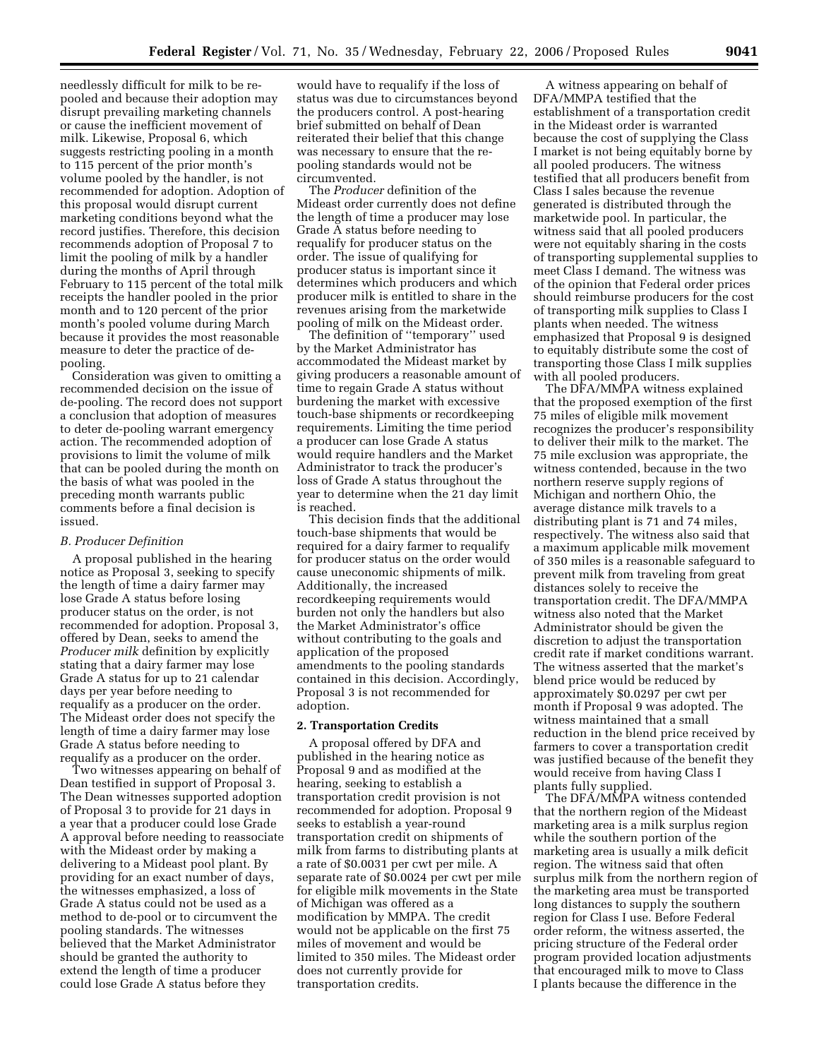needlessly difficult for milk to be repooled and because their adoption may disrupt prevailing marketing channels or cause the inefficient movement of milk. Likewise, Proposal 6, which suggests restricting pooling in a month to 115 percent of the prior month's volume pooled by the handler, is not recommended for adoption. Adoption of this proposal would disrupt current marketing conditions beyond what the record justifies. Therefore, this decision recommends adoption of Proposal 7 to limit the pooling of milk by a handler during the months of April through February to 115 percent of the total milk receipts the handler pooled in the prior month and to 120 percent of the prior month's pooled volume during March because it provides the most reasonable measure to deter the practice of depooling.

Consideration was given to omitting a recommended decision on the issue of de-pooling. The record does not support a conclusion that adoption of measures to deter de-pooling warrant emergency action. The recommended adoption of provisions to limit the volume of milk that can be pooled during the month on the basis of what was pooled in the preceding month warrants public comments before a final decision is issued.

#### *B. Producer Definition*

A proposal published in the hearing notice as Proposal 3, seeking to specify the length of time a dairy farmer may lose Grade A status before losing producer status on the order, is not recommended for adoption. Proposal 3, offered by Dean, seeks to amend the *Producer milk* definition by explicitly stating that a dairy farmer may lose Grade A status for up to 21 calendar days per year before needing to requalify as a producer on the order. The Mideast order does not specify the length of time a dairy farmer may lose Grade A status before needing to requalify as a producer on the order.

Two witnesses appearing on behalf of Dean testified in support of Proposal 3. The Dean witnesses supported adoption of Proposal 3 to provide for 21 days in a year that a producer could lose Grade A approval before needing to reassociate with the Mideast order by making a delivering to a Mideast pool plant. By providing for an exact number of days, the witnesses emphasized, a loss of Grade A status could not be used as a method to de-pool or to circumvent the pooling standards. The witnesses believed that the Market Administrator should be granted the authority to extend the length of time a producer could lose Grade A status before they

would have to requalify if the loss of status was due to circumstances beyond the producers control. A post-hearing brief submitted on behalf of Dean reiterated their belief that this change was necessary to ensure that the repooling standards would not be circumvented.

The *Producer* definition of the Mideast order currently does not define the length of time a producer may lose Grade A status before needing to requalify for producer status on the order. The issue of qualifying for producer status is important since it determines which producers and which producer milk is entitled to share in the revenues arising from the marketwide pooling of milk on the Mideast order.

The definition of ''temporary'' used by the Market Administrator has accommodated the Mideast market by giving producers a reasonable amount of time to regain Grade A status without burdening the market with excessive touch-base shipments or recordkeeping requirements. Limiting the time period a producer can lose Grade A status would require handlers and the Market Administrator to track the producer's loss of Grade A status throughout the year to determine when the 21 day limit is reached.

This decision finds that the additional touch-base shipments that would be required for a dairy farmer to requalify for producer status on the order would cause uneconomic shipments of milk. Additionally, the increased recordkeeping requirements would burden not only the handlers but also the Market Administrator's office without contributing to the goals and application of the proposed amendments to the pooling standards contained in this decision. Accordingly, Proposal 3 is not recommended for adoption.

## **2. Transportation Credits**

A proposal offered by DFA and published in the hearing notice as Proposal 9 and as modified at the hearing, seeking to establish a transportation credit provision is not recommended for adoption. Proposal 9 seeks to establish a year-round transportation credit on shipments of milk from farms to distributing plants at a rate of \$0.0031 per cwt per mile. A separate rate of \$0.0024 per cwt per mile for eligible milk movements in the State of Michigan was offered as a modification by MMPA. The credit would not be applicable on the first 75 miles of movement and would be limited to 350 miles. The Mideast order does not currently provide for transportation credits.

A witness appearing on behalf of DFA/MMPA testified that the establishment of a transportation credit in the Mideast order is warranted because the cost of supplying the Class I market is not being equitably borne by all pooled producers. The witness testified that all producers benefit from Class I sales because the revenue generated is distributed through the marketwide pool. In particular, the witness said that all pooled producers were not equitably sharing in the costs of transporting supplemental supplies to meet Class I demand. The witness was of the opinion that Federal order prices should reimburse producers for the cost of transporting milk supplies to Class I plants when needed. The witness emphasized that Proposal 9 is designed to equitably distribute some the cost of transporting those Class I milk supplies with all pooled producers.

The DFA/MMPA witness explained that the proposed exemption of the first 75 miles of eligible milk movement recognizes the producer's responsibility to deliver their milk to the market. The 75 mile exclusion was appropriate, the witness contended, because in the two northern reserve supply regions of Michigan and northern Ohio, the average distance milk travels to a distributing plant is 71 and 74 miles, respectively. The witness also said that a maximum applicable milk movement of 350 miles is a reasonable safeguard to prevent milk from traveling from great distances solely to receive the transportation credit. The DFA/MMPA witness also noted that the Market Administrator should be given the discretion to adjust the transportation credit rate if market conditions warrant. The witness asserted that the market's blend price would be reduced by approximately \$0.0297 per cwt per month if Proposal 9 was adopted. The witness maintained that a small reduction in the blend price received by farmers to cover a transportation credit was justified because of the benefit they would receive from having Class I plants fully supplied.

The DFA/MMPA witness contended that the northern region of the Mideast marketing area is a milk surplus region while the southern portion of the marketing area is usually a milk deficit region. The witness said that often surplus milk from the northern region of the marketing area must be transported long distances to supply the southern region for Class I use. Before Federal order reform, the witness asserted, the pricing structure of the Federal order program provided location adjustments that encouraged milk to move to Class I plants because the difference in the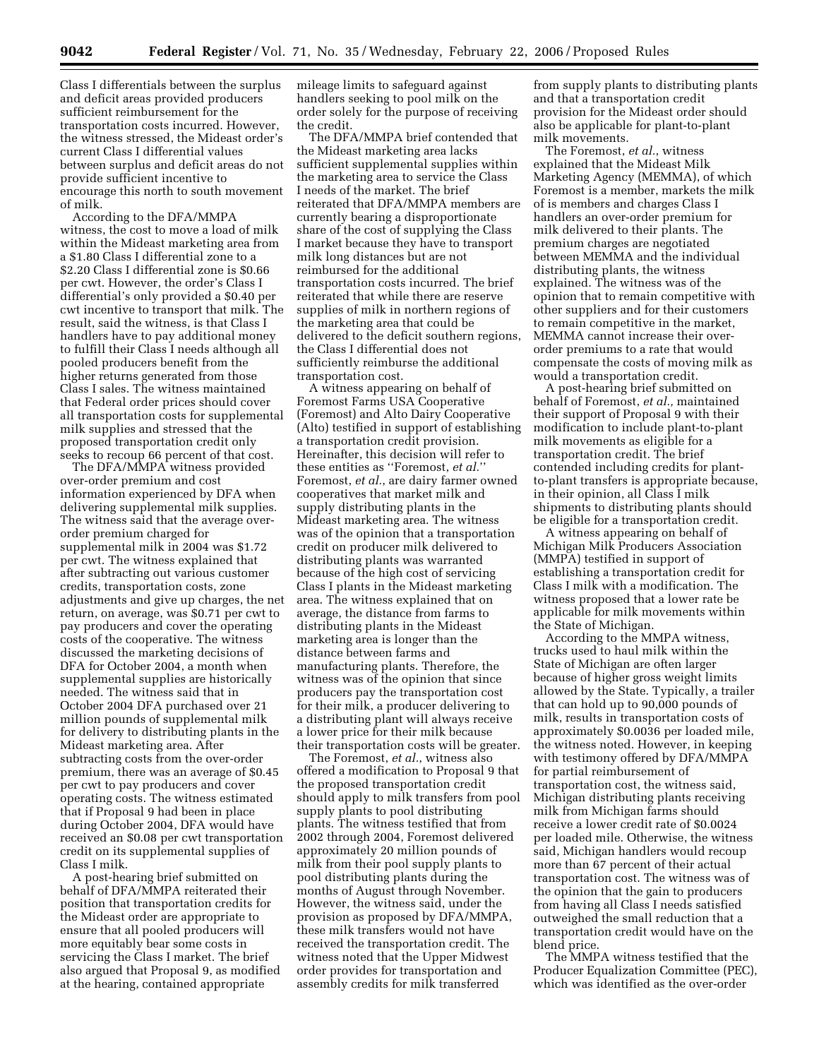Class I differentials between the surplus and deficit areas provided producers sufficient reimbursement for the transportation costs incurred. However, the witness stressed, the Mideast order's current Class I differential values between surplus and deficit areas do not provide sufficient incentive to encourage this north to south movement of milk.

According to the DFA/MMPA witness, the cost to move a load of milk within the Mideast marketing area from a \$1.80 Class I differential zone to a \$2.20 Class I differential zone is \$0.66 per cwt. However, the order's Class I differential's only provided a \$0.40 per cwt incentive to transport that milk. The result, said the witness, is that Class I handlers have to pay additional money to fulfill their Class I needs although all pooled producers benefit from the higher returns generated from those Class I sales. The witness maintained that Federal order prices should cover all transportation costs for supplemental milk supplies and stressed that the proposed transportation credit only seeks to recoup 66 percent of that cost.

The DFA/MMPA witness provided over-order premium and cost information experienced by DFA when delivering supplemental milk supplies. The witness said that the average overorder premium charged for supplemental milk in 2004 was \$1.72 per cwt. The witness explained that after subtracting out various customer credits, transportation costs, zone adjustments and give up charges, the net return, on average, was \$0.71 per cwt to pay producers and cover the operating costs of the cooperative. The witness discussed the marketing decisions of DFA for October 2004, a month when supplemental supplies are historically needed. The witness said that in October 2004 DFA purchased over 21 million pounds of supplemental milk for delivery to distributing plants in the Mideast marketing area. After subtracting costs from the over-order premium, there was an average of \$0.45 per cwt to pay producers and cover operating costs. The witness estimated that if Proposal 9 had been in place during October 2004, DFA would have received an \$0.08 per cwt transportation credit on its supplemental supplies of Class I milk.

A post-hearing brief submitted on behalf of DFA/MMPA reiterated their position that transportation credits for the Mideast order are appropriate to ensure that all pooled producers will more equitably bear some costs in servicing the Class I market. The brief also argued that Proposal 9, as modified at the hearing, contained appropriate

mileage limits to safeguard against handlers seeking to pool milk on the order solely for the purpose of receiving the credit.

The DFA/MMPA brief contended that the Mideast marketing area lacks sufficient supplemental supplies within the marketing area to service the Class I needs of the market. The brief reiterated that DFA/MMPA members are currently bearing a disproportionate share of the cost of supplying the Class I market because they have to transport milk long distances but are not reimbursed for the additional transportation costs incurred. The brief reiterated that while there are reserve supplies of milk in northern regions of the marketing area that could be delivered to the deficit southern regions, the Class I differential does not sufficiently reimburse the additional transportation cost.

A witness appearing on behalf of Foremost Farms USA Cooperative (Foremost) and Alto Dairy Cooperative (Alto) testified in support of establishing a transportation credit provision. Hereinafter, this decision will refer to these entities as ''Foremost, *et al.*'' Foremost, *et al.*, are dairy farmer owned cooperatives that market milk and supply distributing plants in the Mideast marketing area. The witness was of the opinion that a transportation credit on producer milk delivered to distributing plants was warranted because of the high cost of servicing Class I plants in the Mideast marketing area. The witness explained that on average, the distance from farms to distributing plants in the Mideast marketing area is longer than the distance between farms and manufacturing plants. Therefore, the witness was of the opinion that since producers pay the transportation cost for their milk, a producer delivering to a distributing plant will always receive a lower price for their milk because their transportation costs will be greater.

The Foremost, *et al.*, witness also offered a modification to Proposal 9 that the proposed transportation credit should apply to milk transfers from pool supply plants to pool distributing plants. The witness testified that from 2002 through 2004, Foremost delivered approximately 20 million pounds of milk from their pool supply plants to pool distributing plants during the months of August through November. However, the witness said, under the provision as proposed by DFA/MMPA, these milk transfers would not have received the transportation credit. The witness noted that the Upper Midwest order provides for transportation and assembly credits for milk transferred

from supply plants to distributing plants and that a transportation credit provision for the Mideast order should also be applicable for plant-to-plant milk movements.

The Foremost, *et al.*, witness explained that the Mideast Milk Marketing Agency (MEMMA), of which Foremost is a member, markets the milk of is members and charges Class I handlers an over-order premium for milk delivered to their plants. The premium charges are negotiated between MEMMA and the individual distributing plants, the witness explained. The witness was of the opinion that to remain competitive with other suppliers and for their customers to remain competitive in the market, MEMMA cannot increase their overorder premiums to a rate that would compensate the costs of moving milk as would a transportation credit.

A post-hearing brief submitted on behalf of Foremost, *et al.,* maintained their support of Proposal 9 with their modification to include plant-to-plant milk movements as eligible for a transportation credit. The brief contended including credits for plantto-plant transfers is appropriate because, in their opinion, all Class I milk shipments to distributing plants should be eligible for a transportation credit.

A witness appearing on behalf of Michigan Milk Producers Association (MMPA) testified in support of establishing a transportation credit for Class I milk with a modification. The witness proposed that a lower rate be applicable for milk movements within the State of Michigan.

According to the MMPA witness, trucks used to haul milk within the State of Michigan are often larger because of higher gross weight limits allowed by the State. Typically, a trailer that can hold up to 90,000 pounds of milk, results in transportation costs of approximately \$0.0036 per loaded mile, the witness noted. However, in keeping with testimony offered by DFA/MMPA for partial reimbursement of transportation cost, the witness said, Michigan distributing plants receiving milk from Michigan farms should receive a lower credit rate of \$0.0024 per loaded mile. Otherwise, the witness said, Michigan handlers would recoup more than 67 percent of their actual transportation cost. The witness was of the opinion that the gain to producers from having all Class I needs satisfied outweighed the small reduction that a transportation credit would have on the blend price.

The MMPA witness testified that the Producer Equalization Committee (PEC), which was identified as the over-order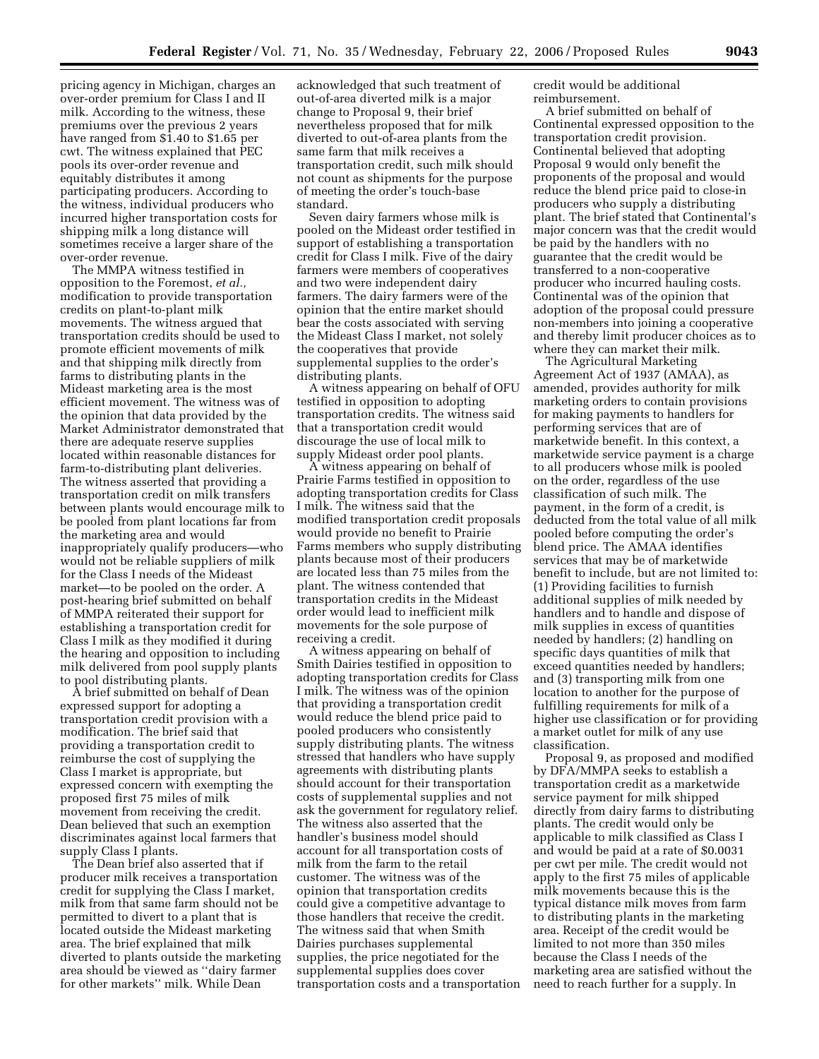pricing agency in Michigan, charges an over-order premium for Class I and II milk. According to the witness, these premiums over the previous 2 years have ranged from \$1.40 to \$1.65 per cwt. The witness explained that PEC pools its over-order revenue and equitably distributes it among participating producers. According to the witness, individual producers who incurred higher transportation costs for shipping milk a long distance will sometimes receive a larger share of the over-order revenue.

The MMPA witness testified in opposition to the Foremost, *et al.,*  modification to provide transportation credits on plant-to-plant milk movements. The witness argued that transportation credits should be used to promote efficient movements of milk and that shipping milk directly from farms to distributing plants in the Mideast marketing area is the most efficient movement. The witness was of the opinion that data provided by the Market Administrator demonstrated that there are adequate reserve supplies located within reasonable distances for farm-to-distributing plant deliveries. The witness asserted that providing a transportation credit on milk transfers between plants would encourage milk to be pooled from plant locations far from the marketing area and would inappropriately qualify producers—who would not be reliable suppliers of milk for the Class I needs of the Mideast market—to be pooled on the order. A post-hearing brief submitted on behalf of MMPA reiterated their support for establishing a transportation credit for Class I milk as they modified it during the hearing and opposition to including milk delivered from pool supply plants to pool distributing plants.

A brief submitted on behalf of Dean expressed support for adopting a transportation credit provision with a modification. The brief said that providing a transportation credit to reimburse the cost of supplying the Class I market is appropriate, but expressed concern with exempting the proposed first 75 miles of milk movement from receiving the credit. Dean believed that such an exemption discriminates against local farmers that supply Class I plants.

The Dean brief also asserted that if producer milk receives a transportation credit for supplying the Class I market, milk from that same farm should not be permitted to divert to a plant that is located outside the Mideast marketing area. The brief explained that milk diverted to plants outside the marketing area should be viewed as ''dairy farmer for other markets'' milk. While Dean

acknowledged that such treatment of out-of-area diverted milk is a major change to Proposal 9, their brief nevertheless proposed that for milk diverted to out-of-area plants from the same farm that milk receives a transportation credit, such milk should not count as shipments for the purpose of meeting the order's touch-base standard.

Seven dairy farmers whose milk is pooled on the Mideast order testified in support of establishing a transportation credit for Class I milk. Five of the dairy farmers were members of cooperatives and two were independent dairy farmers. The dairy farmers were of the opinion that the entire market should bear the costs associated with serving the Mideast Class I market, not solely the cooperatives that provide supplemental supplies to the order's distributing plants.

A witness appearing on behalf of OFU testified in opposition to adopting transportation credits. The witness said that a transportation credit would discourage the use of local milk to supply Mideast order pool plants.

A witness appearing on behalf of Prairie Farms testified in opposition to adopting transportation credits for Class I milk. The witness said that the modified transportation credit proposals would provide no benefit to Prairie Farms members who supply distributing plants because most of their producers are located less than 75 miles from the plant. The witness contended that transportation credits in the Mideast order would lead to inefficient milk movements for the sole purpose of receiving a credit.

A witness appearing on behalf of Smith Dairies testified in opposition to adopting transportation credits for Class I milk. The witness was of the opinion that providing a transportation credit would reduce the blend price paid to pooled producers who consistently supply distributing plants. The witness stressed that handlers who have supply agreements with distributing plants should account for their transportation costs of supplemental supplies and not ask the government for regulatory relief. The witness also asserted that the handler's business model should account for all transportation costs of milk from the farm to the retail customer. The witness was of the opinion that transportation credits could give a competitive advantage to those handlers that receive the credit. The witness said that when Smith Dairies purchases supplemental supplies, the price negotiated for the supplemental supplies does cover transportation costs and a transportation credit would be additional reimbursement.

A brief submitted on behalf of Continental expressed opposition to the transportation credit provision. Continental believed that adopting Proposal 9 would only benefit the proponents of the proposal and would reduce the blend price paid to close-in producers who supply a distributing plant. The brief stated that Continental's major concern was that the credit would be paid by the handlers with no guarantee that the credit would be transferred to a non-cooperative producer who incurred hauling costs. Continental was of the opinion that adoption of the proposal could pressure non-members into joining a cooperative and thereby limit producer choices as to where they can market their milk.

The Agricultural Marketing Agreement Act of 1937 (AMAA), as amended, provides authority for milk marketing orders to contain provisions for making payments to handlers for performing services that are of marketwide benefit. In this context, a marketwide service payment is a charge to all producers whose milk is pooled on the order, regardless of the use classification of such milk. The payment, in the form of a credit, is deducted from the total value of all milk pooled before computing the order's blend price. The AMAA identifies services that may be of marketwide benefit to include, but are not limited to: (1) Providing facilities to furnish additional supplies of milk needed by handlers and to handle and dispose of milk supplies in excess of quantities needed by handlers; (2) handling on specific days quantities of milk that exceed quantities needed by handlers; and (3) transporting milk from one location to another for the purpose of fulfilling requirements for milk of a higher use classification or for providing a market outlet for milk of any use classification.

Proposal 9, as proposed and modified by DFA/MMPA seeks to establish a transportation credit as a marketwide service payment for milk shipped directly from dairy farms to distributing plants. The credit would only be applicable to milk classified as Class I and would be paid at a rate of \$0.0031 per cwt per mile. The credit would not apply to the first 75 miles of applicable milk movements because this is the typical distance milk moves from farm to distributing plants in the marketing area. Receipt of the credit would be limited to not more than 350 miles because the Class I needs of the marketing area are satisfied without the need to reach further for a supply. In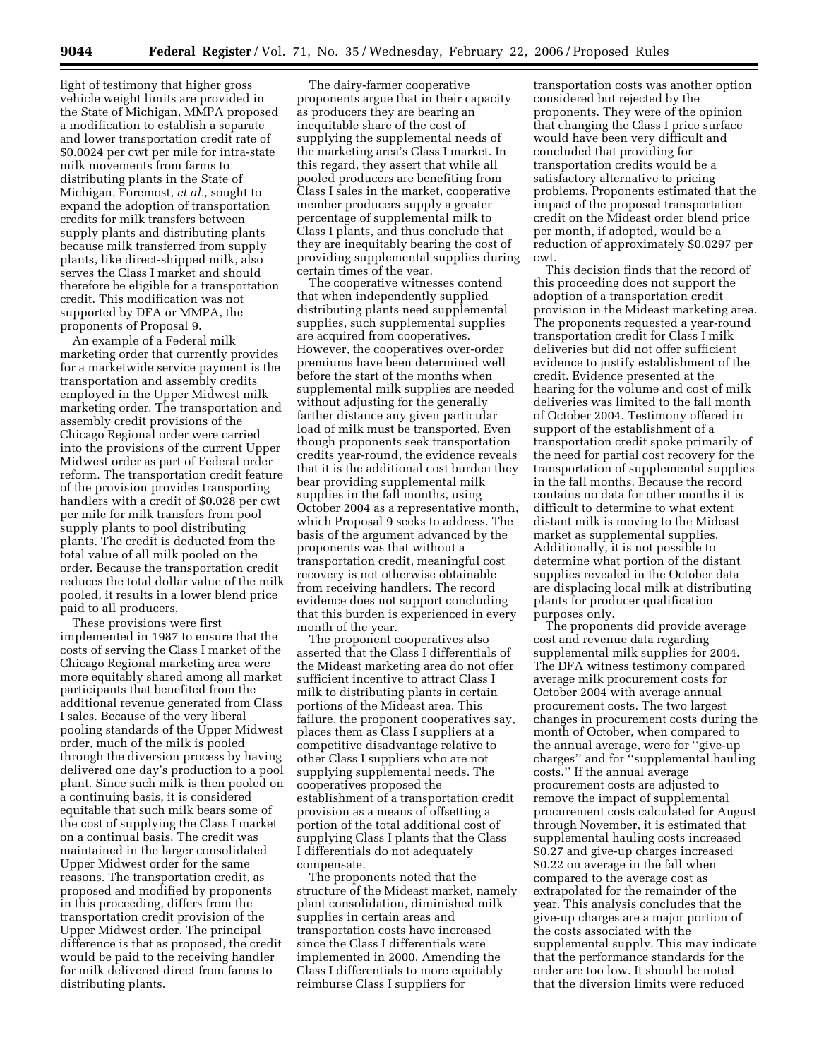light of testimony that higher gross vehicle weight limits are provided in the State of Michigan, MMPA proposed a modification to establish a separate and lower transportation credit rate of \$0.0024 per cwt per mile for intra-state milk movements from farms to distributing plants in the State of Michigan. Foremost, *et al.,* sought to expand the adoption of transportation credits for milk transfers between supply plants and distributing plants because milk transferred from supply plants, like direct-shipped milk, also serves the Class I market and should therefore be eligible for a transportation credit. This modification was not supported by DFA or MMPA, the proponents of Proposal 9.

An example of a Federal milk marketing order that currently provides for a marketwide service payment is the transportation and assembly credits employed in the Upper Midwest milk marketing order. The transportation and assembly credit provisions of the Chicago Regional order were carried into the provisions of the current Upper Midwest order as part of Federal order reform. The transportation credit feature of the provision provides transporting handlers with a credit of \$0.028 per cwt per mile for milk transfers from pool supply plants to pool distributing plants. The credit is deducted from the total value of all milk pooled on the order. Because the transportation credit reduces the total dollar value of the milk pooled, it results in a lower blend price paid to all producers.

These provisions were first implemented in 1987 to ensure that the costs of serving the Class I market of the Chicago Regional marketing area were more equitably shared among all market participants that benefited from the additional revenue generated from Class I sales. Because of the very liberal pooling standards of the Upper Midwest order, much of the milk is pooled through the diversion process by having delivered one day's production to a pool plant. Since such milk is then pooled on a continuing basis, it is considered equitable that such milk bears some of the cost of supplying the Class I market on a continual basis. The credit was maintained in the larger consolidated Upper Midwest order for the same reasons. The transportation credit, as proposed and modified by proponents in this proceeding, differs from the transportation credit provision of the Upper Midwest order. The principal difference is that as proposed, the credit would be paid to the receiving handler for milk delivered direct from farms to distributing plants.

The dairy-farmer cooperative proponents argue that in their capacity as producers they are bearing an inequitable share of the cost of supplying the supplemental needs of the marketing area's Class I market. In this regard, they assert that while all pooled producers are benefiting from Class I sales in the market, cooperative member producers supply a greater percentage of supplemental milk to Class I plants, and thus conclude that they are inequitably bearing the cost of providing supplemental supplies during certain times of the year.

The cooperative witnesses contend that when independently supplied distributing plants need supplemental supplies, such supplemental supplies are acquired from cooperatives. However, the cooperatives over-order premiums have been determined well before the start of the months when supplemental milk supplies are needed without adjusting for the generally farther distance any given particular load of milk must be transported. Even though proponents seek transportation credits year-round, the evidence reveals that it is the additional cost burden they bear providing supplemental milk supplies in the fall months, using October 2004 as a representative month, which Proposal 9 seeks to address. The basis of the argument advanced by the proponents was that without a transportation credit, meaningful cost recovery is not otherwise obtainable from receiving handlers. The record evidence does not support concluding that this burden is experienced in every month of the year.

The proponent cooperatives also asserted that the Class I differentials of the Mideast marketing area do not offer sufficient incentive to attract Class I milk to distributing plants in certain portions of the Mideast area. This failure, the proponent cooperatives say, places them as Class I suppliers at a competitive disadvantage relative to other Class I suppliers who are not supplying supplemental needs. The cooperatives proposed the establishment of a transportation credit provision as a means of offsetting a portion of the total additional cost of supplying Class I plants that the Class I differentials do not adequately compensate.

The proponents noted that the structure of the Mideast market, namely plant consolidation, diminished milk supplies in certain areas and transportation costs have increased since the Class I differentials were implemented in 2000. Amending the Class I differentials to more equitably reimburse Class I suppliers for

transportation costs was another option considered but rejected by the proponents. They were of the opinion that changing the Class I price surface would have been very difficult and concluded that providing for transportation credits would be a satisfactory alternative to pricing problems. Proponents estimated that the impact of the proposed transportation credit on the Mideast order blend price per month, if adopted, would be a reduction of approximately \$0.0297 per cwt.

This decision finds that the record of this proceeding does not support the adoption of a transportation credit provision in the Mideast marketing area. The proponents requested a year-round transportation credit for Class I milk deliveries but did not offer sufficient evidence to justify establishment of the credit. Evidence presented at the hearing for the volume and cost of milk deliveries was limited to the fall month of October 2004. Testimony offered in support of the establishment of a transportation credit spoke primarily of the need for partial cost recovery for the transportation of supplemental supplies in the fall months. Because the record contains no data for other months it is difficult to determine to what extent distant milk is moving to the Mideast market as supplemental supplies. Additionally, it is not possible to determine what portion of the distant supplies revealed in the October data are displacing local milk at distributing plants for producer qualification purposes only.

The proponents did provide average cost and revenue data regarding supplemental milk supplies for 2004. The DFA witness testimony compared average milk procurement costs for October 2004 with average annual procurement costs. The two largest changes in procurement costs during the month of October, when compared to the annual average, were for ''give-up charges'' and for ''supplemental hauling costs.'' If the annual average procurement costs are adjusted to remove the impact of supplemental procurement costs calculated for August through November, it is estimated that supplemental hauling costs increased \$0.27 and give-up charges increased \$0.22 on average in the fall when compared to the average cost as extrapolated for the remainder of the year. This analysis concludes that the give-up charges are a major portion of the costs associated with the supplemental supply. This may indicate that the performance standards for the order are too low. It should be noted that the diversion limits were reduced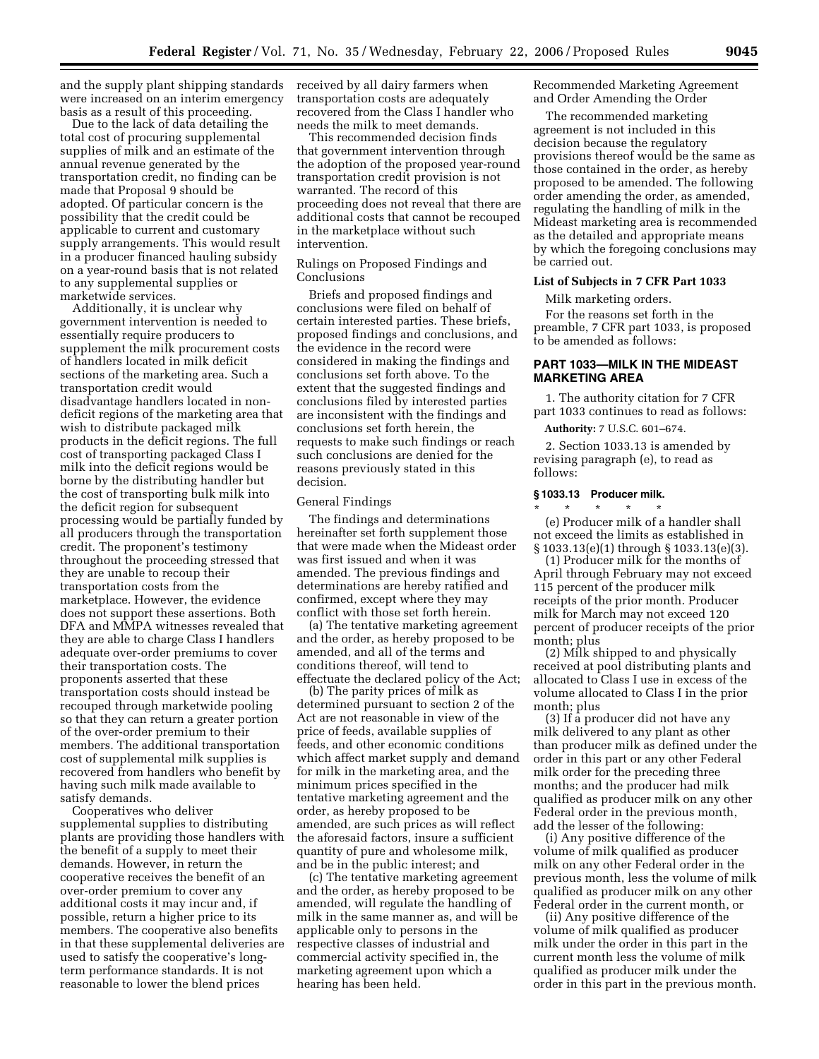and the supply plant shipping standards received by all dairy farmers when were increased on an interim emergency basis as a result of this proceeding.

Due to the lack of data detailing the total cost of procuring supplemental supplies of milk and an estimate of the annual revenue generated by the transportation credit, no finding can be made that Proposal 9 should be adopted. Of particular concern is the possibility that the credit could be applicable to current and customary supply arrangements. This would result in a producer financed hauling subsidy on a year-round basis that is not related to any supplemental supplies or marketwide services.

Additionally, it is unclear why government intervention is needed to essentially require producers to supplement the milk procurement costs of handlers located in milk deficit sections of the marketing area. Such a transportation credit would disadvantage handlers located in nondeficit regions of the marketing area that wish to distribute packaged milk products in the deficit regions. The full cost of transporting packaged Class I milk into the deficit regions would be borne by the distributing handler but the cost of transporting bulk milk into the deficit region for subsequent processing would be partially funded by all producers through the transportation credit. The proponent's testimony throughout the proceeding stressed that they are unable to recoup their transportation costs from the marketplace. However, the evidence does not support these assertions. Both DFA and MMPA witnesses revealed that they are able to charge Class I handlers adequate over-order premiums to cover their transportation costs. The proponents asserted that these transportation costs should instead be recouped through marketwide pooling so that they can return a greater portion of the over-order premium to their members. The additional transportation cost of supplemental milk supplies is recovered from handlers who benefit by having such milk made available to satisfy demands.

Cooperatives who deliver supplemental supplies to distributing plants are providing those handlers with the benefit of a supply to meet their demands. However, in return the cooperative receives the benefit of an over-order premium to cover any additional costs it may incur and, if possible, return a higher price to its members. The cooperative also benefits in that these supplemental deliveries are used to satisfy the cooperative's longterm performance standards. It is not reasonable to lower the blend prices

transportation costs are adequately recovered from the Class I handler who needs the milk to meet demands.

This recommended decision finds that government intervention through the adoption of the proposed year-round transportation credit provision is not warranted. The record of this proceeding does not reveal that there are additional costs that cannot be recouped in the marketplace without such intervention.

## Rulings on Proposed Findings and Conclusions

Briefs and proposed findings and conclusions were filed on behalf of certain interested parties. These briefs, proposed findings and conclusions, and the evidence in the record were considered in making the findings and conclusions set forth above. To the extent that the suggested findings and conclusions filed by interested parties are inconsistent with the findings and conclusions set forth herein, the requests to make such findings or reach such conclusions are denied for the reasons previously stated in this decision.

## General Findings

The findings and determinations hereinafter set forth supplement those that were made when the Mideast order was first issued and when it was amended. The previous findings and determinations are hereby ratified and confirmed, except where they may conflict with those set forth herein.

(a) The tentative marketing agreement and the order, as hereby proposed to be amended, and all of the terms and conditions thereof, will tend to effectuate the declared policy of the Act;

(b) The parity prices of milk as determined pursuant to section 2 of the Act are not reasonable in view of the price of feeds, available supplies of feeds, and other economic conditions which affect market supply and demand for milk in the marketing area, and the minimum prices specified in the tentative marketing agreement and the order, as hereby proposed to be amended, are such prices as will reflect the aforesaid factors, insure a sufficient quantity of pure and wholesome milk, and be in the public interest; and

(c) The tentative marketing agreement and the order, as hereby proposed to be amended, will regulate the handling of milk in the same manner as, and will be applicable only to persons in the respective classes of industrial and commercial activity specified in, the marketing agreement upon which a hearing has been held.

Recommended Marketing Agreement and Order Amending the Order

The recommended marketing agreement is not included in this decision because the regulatory provisions thereof would be the same as those contained in the order, as hereby proposed to be amended. The following order amending the order, as amended, regulating the handling of milk in the Mideast marketing area is recommended as the detailed and appropriate means by which the foregoing conclusions may be carried out.

#### **List of Subjects in 7 CFR Part 1033**

Milk marketing orders.

For the reasons set forth in the preamble, 7 CFR part 1033, is proposed to be amended as follows:

# **PART 1033—MILK IN THE MIDEAST MARKETING AREA**

1. The authority citation for 7 CFR part 1033 continues to read as follows:

**Authority:** 7 U.S.C. 601–674.

2. Section 1033.13 is amended by revising paragraph (e), to read as follows:

## **§ 1033.13 Producer milk.**

\* \* \* \* \* (e) Producer milk of a handler shall not exceed the limits as established in § 1033.13(e)(1) through § 1033.13(e)(3).

(1) Producer milk for the months of April through February may not exceed 115 percent of the producer milk receipts of the prior month. Producer milk for March may not exceed 120 percent of producer receipts of the prior month; plus

(2) Milk shipped to and physically received at pool distributing plants and allocated to Class I use in excess of the volume allocated to Class I in the prior month; plus

(3) If a producer did not have any milk delivered to any plant as other than producer milk as defined under the order in this part or any other Federal milk order for the preceding three months; and the producer had milk qualified as producer milk on any other Federal order in the previous month, add the lesser of the following:

(i) Any positive difference of the volume of milk qualified as producer milk on any other Federal order in the previous month, less the volume of milk qualified as producer milk on any other Federal order in the current month, or

(ii) Any positive difference of the volume of milk qualified as producer milk under the order in this part in the current month less the volume of milk qualified as producer milk under the order in this part in the previous month.